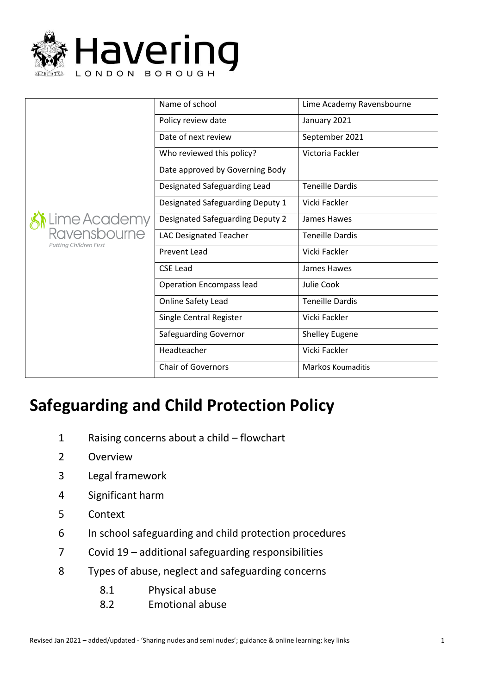

| Lime Academy<br>Ravensbourne<br><b>Putting Children First</b> | Name of school                   | Lime Academy Ravensbourne |
|---------------------------------------------------------------|----------------------------------|---------------------------|
|                                                               | Policy review date               | January 2021              |
|                                                               | Date of next review              | September 2021            |
|                                                               | Who reviewed this policy?        | Victoria Fackler          |
|                                                               | Date approved by Governing Body  |                           |
|                                                               | Designated Safeguarding Lead     | <b>Teneille Dardis</b>    |
|                                                               | Designated Safeguarding Deputy 1 | Vicki Fackler             |
|                                                               | Designated Safeguarding Deputy 2 | James Hawes               |
|                                                               | LAC Designated Teacher           | <b>Teneille Dardis</b>    |
|                                                               | Prevent Lead                     | Vicki Fackler             |
|                                                               | <b>CSE Lead</b>                  | James Hawes               |
|                                                               | Operation Encompass lead         | Julie Cook                |
|                                                               | Online Safety Lead               | <b>Teneille Dardis</b>    |
|                                                               | Single Central Register          | Vicki Fackler             |
|                                                               | Safeguarding Governor            | Shelley Eugene            |
|                                                               | Headteacher                      | Vicki Fackler             |
|                                                               | <b>Chair of Governors</b>        | <b>Markos Koumaditis</b>  |

# **Safeguarding and Child Protection Policy**

- 1 Raising concerns about a child flowchart
- 2 Overview
- 3 Legal framework
- 4 Significant harm
- 5 Context
- 6 In school safeguarding and child protection procedures
- 7 Covid 19 additional safeguarding responsibilities
- 8 Types of abuse, neglect and safeguarding concerns
	- 8.1 Physical abuse
	- 8.2 Emotional abuse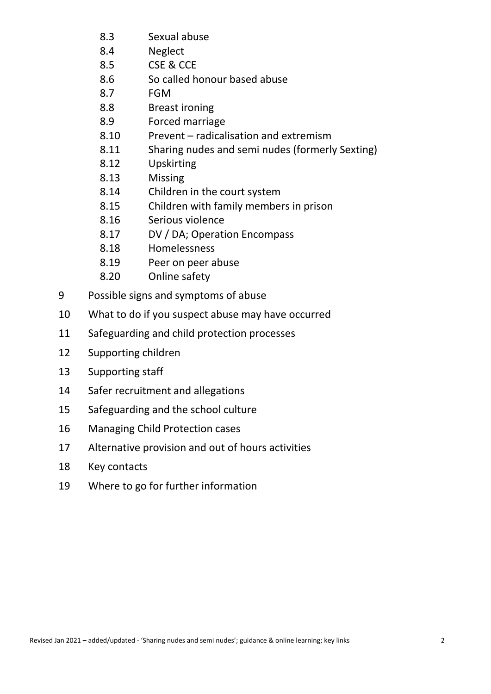- 8.3 Sexual abuse
- 8.4 Neglect
- 8.5 CSE & CCE
- 8.6 So called honour based abuse
- 8.7 FGM
- 8.8 Breast ironing
- 8.9 Forced marriage
- 8.10 Prevent radicalisation and extremism
- 8.11 Sharing nudes and semi nudes (formerly Sexting)
- 8.12 Upskirting
- 8.13 Missing
- 8.14 Children in the court system
- 8.15 Children with family members in prison
- 8.16 Serious violence
- 8.17 DV / DA; Operation Encompass
- 8.18 Homelessness
- 8.19 Peer on peer abuse
- 8.20 Online safety
- 9 Possible signs and symptoms of abuse
- 10 What to do if you suspect abuse may have occurred
- 11 Safeguarding and child protection processes
- 12 Supporting children
- 13 Supporting staff
- 14 Safer recruitment and allegations
- 15 Safeguarding and the school culture
- 16 Managing Child Protection cases
- 17 Alternative provision and out of hours activities
- 18 Key contacts
- 19 Where to go for further information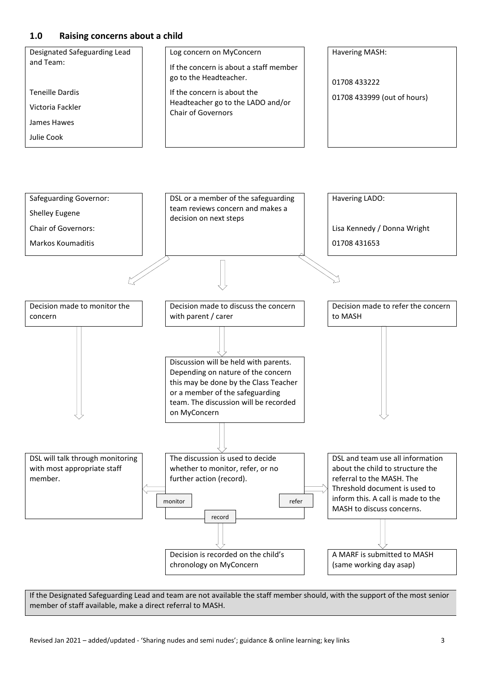#### **1.0 Raising concerns about a child**



If the Designated Safeguarding Lead and team are not available the staff member should, with the support of the most senior member of staff available, make a direct referral to MASH.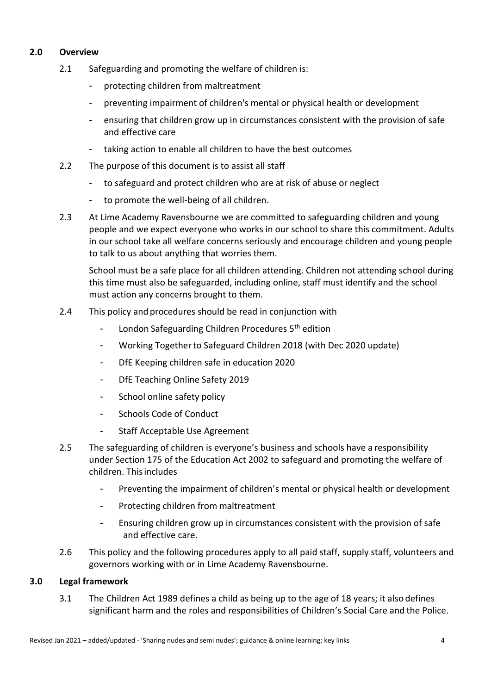#### **2.0 Overview**

- 2.1 Safeguarding and promoting the welfare of children is:
	- protecting children from maltreatment
	- preventing impairment of children's mental or physical health or development
	- ensuring that children grow up in circumstances consistent with the provision of safe and effective care
	- taking action to enable all children to have the best outcomes
- 2.2 The purpose of this document is to assist all staff
	- to safeguard and protect children who are at risk of abuse or neglect
	- to promote the well-being of all children.
- 2.3 At Lime Academy Ravensbourne we are committed to safeguarding children and young people and we expect everyone who works in our school to share this commitment. Adults in our school take all welfare concerns seriously and encourage children and young people to talk to us about anything that worries them.

School must be a safe place for all children attending. Children not attending school during this time must also be safeguarded, including online, staff must identify and the school must action any concerns brought to them.

- 2.4 This policy and procedures should be read in conjunction with
	- London Safeguarding Children Procedures 5<sup>th</sup> edition
	- Working Together to Safeguard Children 2018 (with Dec 2020 update)
	- DfE Keeping children safe in education 2020
	- DfE Teaching Online Safety 2019
	- School online safety policy
	- Schools Code of Conduct
	- Staff Acceptable Use Agreement
- 2.5 The safeguarding of children is everyone's business and schools have a responsibility under Section 175 of the Education Act 2002 to safeguard and promoting the welfare of children. Thisincludes
	- Preventing the impairment of children's mental or physical health or development
	- Protecting children from maltreatment
	- Ensuring children grow up in circumstances consistent with the provision of safe and effective care.
- 2.6 This policy and the following procedures apply to all paid staff, supply staff, volunteers and governors working with or in Lime Academy Ravensbourne.

# **3.0 Legal framework**

3.1 The Children Act 1989 defines a child as being up to the age of 18 years; it also defines significant harm and the roles and responsibilities of Children's Social Care and the Police.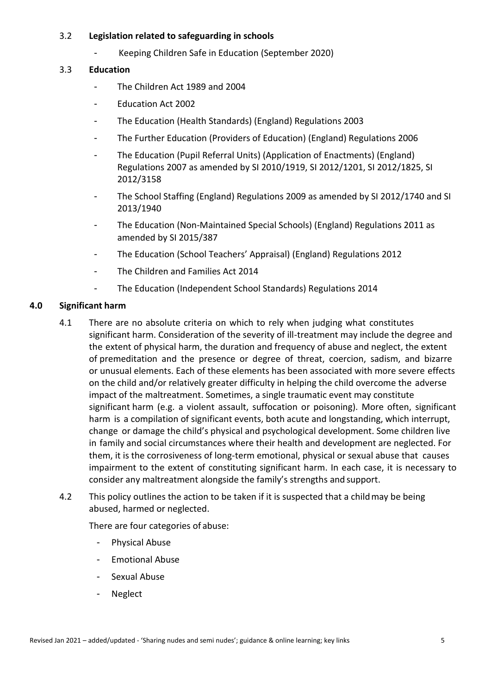#### 3.2 **Legislation related to safeguarding in schools**

Keeping Children Safe in Education (September 2020)

# 3.3 **Education**

- The Children Act 1989 and 2004
- Education Act 2002
- The Education (Health Standards) (England) Regulations 2003
- The Further Education (Providers of Education) (England) Regulations 2006
- The Education (Pupil Referral Units) (Application of Enactments) (England) Regulations 2007 as amended by SI 2010/1919, SI 2012/1201, SI 2012/1825, SI 2012/3158
- The School Staffing (England) Regulations 2009 as amended by SI 2012/1740 and SI 2013/1940
- The Education (Non-Maintained Special Schools) (England) Regulations 2011 as amended by SI 2015/387
- The Education (School Teachers' Appraisal) (England) Regulations 2012
- The Children and Families Act 2014
- The Education (Independent School Standards) Regulations 2014

#### **4.0 Significant harm**

- 4.1 There are no absolute criteria on which to rely when judging what constitutes significant harm. Consideration of the severity of ill-treatment may include the degree and the extent of physical harm, the duration and frequency of abuse and neglect, the extent of premeditation and the presence or degree of threat, coercion, sadism, and bizarre or unusual elements. Each of these elements has been associated with more severe effects on the child and/or relatively greater difficulty in helping the child overcome the adverse impact of the maltreatment. Sometimes, a single traumatic event may constitute significant harm (e.g. a violent assault, suffocation or poisoning). More often, significant harm is a compilation of significant events, both acute and longstanding, which interrupt, change or damage the child's physical and psychological development. Some children live in family and social circumstances where their health and development are neglected. For them, it is the corrosiveness of long-term emotional, physical or sexual abuse that causes impairment to the extent of constituting significant harm. In each case, it is necessary to consider any maltreatment alongside the family's strengths and support.
- 4.2 This policy outlines the action to be taken if it is suspected that a child may be being abused, harmed or neglected.

There are four categories of abuse:

- Physical Abuse
- Emotional Abuse
- Sexual Abuse
- **Neglect**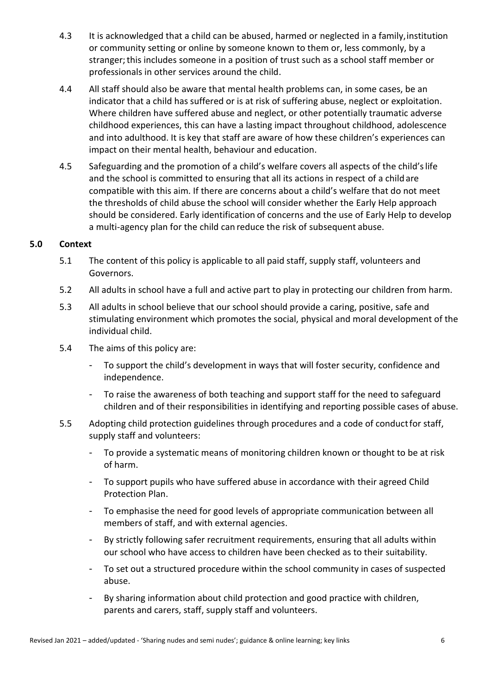- 4.3 It is acknowledged that a child can be abused, harmed or neglected in a family, institution or community setting or online by someone known to them or, less commonly, by a stranger;this includes someone in a position of trust such as a school staff member or professionals in other services around the child.
- 4.4 All staff should also be aware that mental health problems can, in some cases, be an indicator that a child has suffered or is at risk of suffering abuse, neglect or exploitation. Where children have suffered abuse and neglect, or other potentially traumatic adverse childhood experiences, this can have a lasting impact throughout childhood, adolescence and into adulthood. It is key that staff are aware of how these children's experiences can impact on their mental health, behaviour and education.
- 4.5 Safeguarding and the promotion of a child's welfare covers all aspects of the child'slife and the school is committed to ensuring that all its actions in respect of a child are compatible with this aim. If there are concerns about a child's welfare that do not meet the thresholds of child abuse the school will consider whether the Early Help approach should be considered. Early identification of concerns and the use of Early Help to develop a multi-agency plan for the child can reduce the risk of subsequent abuse.

# **5.0 Context**

- 5.1 The content of this policy is applicable to all paid staff, supply staff, volunteers and Governors.
- 5.2 All adults in school have a full and active part to play in protecting our children from harm.
- 5.3 All adults in school believe that our school should provide a caring, positive, safe and stimulating environment which promotes the social, physical and moral development of the individual child.
- 5.4 The aims of this policy are:
	- To support the child's development in ways that will foster security, confidence and independence.
	- To raise the awareness of both teaching and support staff for the need to safeguard children and of their responsibilities in identifying and reporting possible cases of abuse.
- 5.5 Adopting child protection guidelines through procedures and a code of conductfor staff, supply staff and volunteers:
	- To provide a systematic means of monitoring children known or thought to be at risk of harm.
	- To support pupils who have suffered abuse in accordance with their agreed Child Protection Plan.
	- To emphasise the need for good levels of appropriate communication between all members of staff, and with external agencies.
	- By strictly following safer recruitment requirements, ensuring that all adults within our school who have access to children have been checked as to their suitability.
	- To set out a structured procedure within the school community in cases of suspected abuse.
	- By sharing information about child protection and good practice with children, parents and carers, staff, supply staff and volunteers.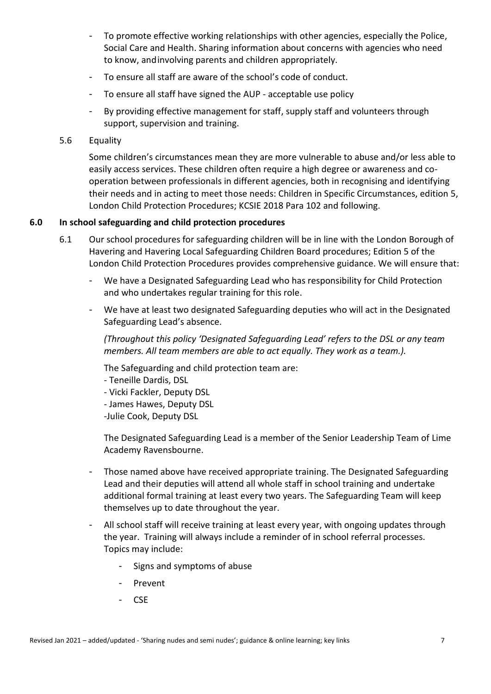- To promote effective working relationships with other agencies, especially the Police, Social Care and Health. Sharing information about concerns with agencies who need to know, andinvolving parents and children appropriately.
- To ensure all staff are aware of the school's code of conduct.
- To ensure all staff have signed the AUP acceptable use policy
- By providing effective management for staff, supply staff and volunteers through support, supervision and training.
- 5.6 Equality

Some children's circumstances mean they are more vulnerable to abuse and/or less able to easily access services. These children often require a high degree or awareness and cooperation between professionals in different agencies, both in recognising and identifying their needs and in acting to meet those needs: Children in Specific Circumstances, edition 5, London Child Protection Procedures; KCSIE 2018 Para 102 and following.

#### **6.0 In school safeguarding and child protection procedures**

- 6.1 Our school procedures for safeguarding children will be in line with the London Borough of Havering and Havering Local Safeguarding Children Board procedures; Edition 5 of the London Child Protection Procedures provides comprehensive guidance. We will ensure that:
	- We have a Designated Safeguarding Lead who has responsibility for Child Protection and who undertakes regular training for this role.
	- We have at least two designated Safeguarding deputies who will act in the Designated Safeguarding Lead's absence.

*(Throughout this policy 'Designated Safeguarding Lead' refers to the DSL or any team members. All team members are able to act equally. They work as a team.).*

The Safeguarding and child protection team are:

- Teneille Dardis, DSL
- Vicki Fackler, Deputy DSL
- James Hawes, Deputy DSL

-Julie Cook, Deputy DSL

The Designated Safeguarding Lead is a member of the Senior Leadership Team of Lime Academy Ravensbourne.

- Those named above have received appropriate training. The Designated Safeguarding Lead and their deputies will attend all whole staff in school training and undertake additional formal training at least every two years. The Safeguarding Team will keep themselves up to date throughout the year.
- All school staff will receive training at least every year, with ongoing updates through the year. Training will always include a reminder of in school referral processes. Topics may include:
	- Signs and symptoms of abuse
	- Prevent
	- CSE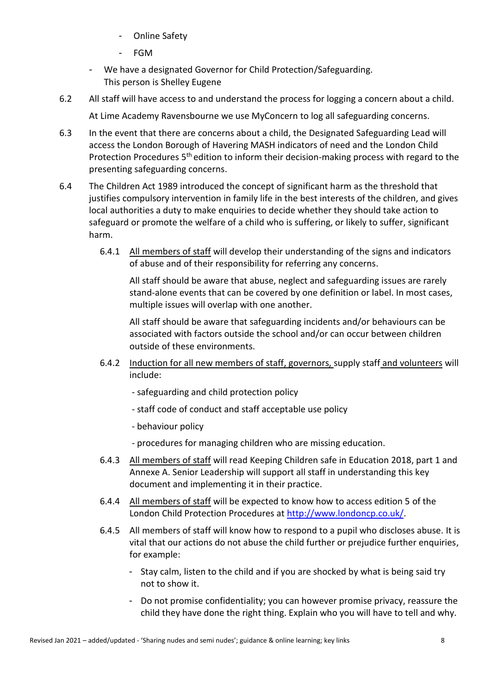- Online Safety
- FGM
- We have a designated Governor for Child Protection/Safeguarding. This person is Shelley Eugene
- 6.2 All staff will have access to and understand the process for logging a concern about a child.

At Lime Academy Ravensbourne we use MyConcern to log all safeguarding concerns.

- 6.3 In the event that there are concerns about a child, the Designated Safeguarding Lead will access the London Borough of Havering MASH indicators of need and the London Child Protection Procedures 5<sup>th</sup> edition to inform their decision-making process with regard to the presenting safeguarding concerns.
- 6.4 The Children Act 1989 introduced the concept of significant harm as the threshold that justifies compulsory intervention in family life in the best interests of the children, and gives local authorities a duty to make enquiries to decide whether they should take action to safeguard or promote the welfare of a child who is suffering, or likely to suffer, significant harm.
	- 6.4.1 All members of staff will develop their understanding of the signs and indicators of abuse and of their responsibility for referring any concerns.

All staff should be aware that abuse, neglect and safeguarding issues are rarely stand-alone events that can be covered by one definition or label. In most cases, multiple issues will overlap with one another.

All staff should be aware that safeguarding incidents and/or behaviours can be associated with factors outside the school and/or can occur between children outside of these environments.

- 6.4.2 Induction for all new members of staff, governors, supply staff and volunteers will include:
	- safeguarding and child protection policy
	- staff code of conduct and staff acceptable use policy
	- behaviour policy
	- procedures for managing children who are missing education.
- 6.4.3 All members of staff will read Keeping Children safe in Education 2018, part 1 and Annexe A. Senior Leadership will support all staff in understanding this key document and implementing it in their practice.
- 6.4.4 All members of staff will be expected to know how to access edition 5 of the London Child Protection Procedures at [http://www.londoncp.co.uk/.](http://www.londoncp.co.uk/)
- 6.4.5 All members of staff will know how to respond to a pupil who discloses abuse. It is vital that our actions do not abuse the child further or prejudice further enquiries, for example:
	- Stay calm, listen to the child and if you are shocked by what is being said try not to show it.
	- Do not promise confidentiality; you can however promise privacy, reassure the child they have done the right thing. Explain who you will have to tell and why.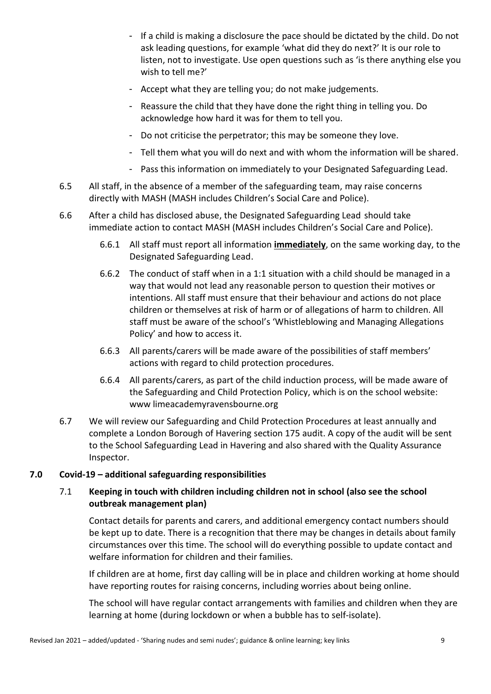- If a child is making a disclosure the pace should be dictated by the child. Do not ask leading questions, for example 'what did they do next?' It is our role to listen, not to investigate. Use open questions such as 'is there anything else you wish to tell me?'
- Accept what they are telling you; do not make judgements.
- Reassure the child that they have done the right thing in telling you. Do acknowledge how hard it was for them to tell you.
- Do not criticise the perpetrator; this may be someone they love.
- Tell them what you will do next and with whom the information will be shared.
- Pass this information on immediately to your Designated Safeguarding Lead.
- 6.5 All staff, in the absence of a member of the safeguarding team, may raise concerns directly with MASH (MASH includes Children's Social Care and Police).
- 6.6 After a child has disclosed abuse, the Designated Safeguarding Lead should take immediate action to contact MASH (MASH includes Children's Social Care and Police).
	- 6.6.1 All staff must report all information **immediately**, on the same working day, to the Designated Safeguarding Lead.
	- 6.6.2 The conduct of staff when in a 1:1 situation with a child should be managed in a way that would not lead any reasonable person to question their motives or intentions. All staff must ensure that their behaviour and actions do not place children or themselves at risk of harm or of allegations of harm to children. All staff must be aware of the school's 'Whistleblowing and Managing Allegations Policy' and how to access it.
	- 6.6.3 All parents/carers will be made aware of the possibilities of staff members' actions with regard to child protection procedures.
	- 6.6.4 All parents/carers, as part of the child induction process, will be made aware of the Safeguarding and Child Protection Policy, which is on the school website: www limeacademyravensbourne.org
- 6.7 We will review our Safeguarding and Child Protection Procedures at least annually and complete a London Borough of Havering section 175 audit. A copy of the audit will be sent to the School Safeguarding Lead in Havering and also shared with the Quality Assurance Inspector.

# **7.0 Covid-19 – additional safeguarding responsibilities**

# 7.1 **Keeping in touch with children including children not in school (also see the school outbreak management plan)**

Contact details for parents and carers, and additional emergency contact numbers should be kept up to date. There is a recognition that there may be changes in details about family circumstances over this time. The school will do everything possible to update contact and welfare information for children and their families.

If children are at home, first day calling will be in place and children working at home should have reporting routes for raising concerns, including worries about being online.

The school will have regular contact arrangements with families and children when they are learning at home (during lockdown or when a bubble has to self-isolate).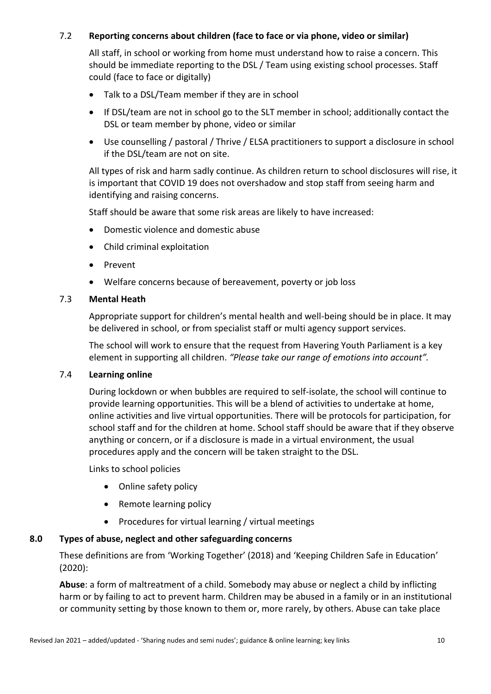# 7.2 **Reporting concerns about children (face to face or via phone, video or similar)**

All staff, in school or working from home must understand how to raise a concern. This should be immediate reporting to the DSL / Team using existing school processes. Staff could (face to face or digitally)

- Talk to a DSL/Team member if they are in school
- If DSL/team are not in school go to the SLT member in school; additionally contact the DSL or team member by phone, video or similar
- Use counselling / pastoral / Thrive / ELSA practitioners to support a disclosure in school if the DSL/team are not on site.

All types of risk and harm sadly continue. As children return to school disclosures will rise, it is important that COVID 19 does not overshadow and stop staff from seeing harm and identifying and raising concerns.

Staff should be aware that some risk areas are likely to have increased:

- Domestic violence and domestic abuse
- Child criminal exploitation
- Prevent
- Welfare concerns because of bereavement, poverty or job loss

#### 7.3 **Mental Heath**

Appropriate support for children's mental health and well-being should be in place. It may be delivered in school, or from specialist staff or multi agency support services.

The school will work to ensure that the request from Havering Youth Parliament is a key element in supporting all children. *"Please take our range of emotions into account".*

#### 7.4 **Learning online**

During lockdown or when bubbles are required to self-isolate, the school will continue to provide learning opportunities. This will be a blend of activities to undertake at home, online activities and live virtual opportunities. There will be protocols for participation, for school staff and for the children at home. School staff should be aware that if they observe anything or concern, or if a disclosure is made in a virtual environment, the usual procedures apply and the concern will be taken straight to the DSL.

Links to school policies

- Online safety policy
- Remote learning policy
- Procedures for virtual learning / virtual meetings

# **8.0 Types of abuse, neglect and other safeguarding concerns**

These definitions are from 'Working Together' (2018) and 'Keeping Children Safe in Education' (2020):

**Abuse**: a form of maltreatment of a child. Somebody may abuse or neglect a child by inflicting harm or by failing to act to prevent harm. Children may be abused in a family or in an institutional or community setting by those known to them or, more rarely, by others. Abuse can take place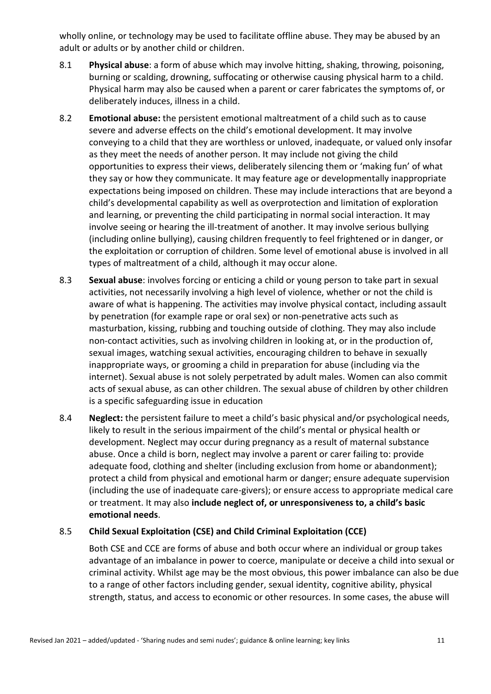wholly online, or technology may be used to facilitate offline abuse. They may be abused by an adult or adults or by another child or children.

- 8.1 **Physical abuse**: a form of abuse which may involve hitting, shaking, throwing, poisoning, burning or scalding, drowning, suffocating or otherwise causing physical harm to a child. Physical harm may also be caused when a parent or carer fabricates the symptoms of, or deliberately induces, illness in a child.
- 8.2 **Emotional abuse:** the persistent emotional maltreatment of a child such as to cause severe and adverse effects on the child's emotional development. It may involve conveying to a child that they are worthless or unloved, inadequate, or valued only insofar as they meet the needs of another person. It may include not giving the child opportunities to express their views, deliberately silencing them or 'making fun' of what they say or how they communicate. It may feature age or developmentally inappropriate expectations being imposed on children. These may include interactions that are beyond a child's developmental capability as well as overprotection and limitation of exploration and learning, or preventing the child participating in normal social interaction. It may involve seeing or hearing the ill-treatment of another. It may involve serious bullying (including online bullying), causing children frequently to feel frightened or in danger, or the exploitation or corruption of children. Some level of emotional abuse is involved in all types of maltreatment of a child, although it may occur alone.
- 8.3 **Sexual abuse**: involves forcing or enticing a child or young person to take part in sexual activities, not necessarily involving a high level of violence, whether or not the child is aware of what is happening. The activities may involve physical contact, including assault by penetration (for example rape or oral sex) or non-penetrative acts such as masturbation, kissing, rubbing and touching outside of clothing. They may also include non-contact activities, such as involving children in looking at, or in the production of, sexual images, watching sexual activities, encouraging children to behave in sexually inappropriate ways, or grooming a child in preparation for abuse (including via the internet). Sexual abuse is not solely perpetrated by adult males. Women can also commit acts of sexual abuse, as can other children. The sexual abuse of children by other children is a specific safeguarding issue in education
- 8.4 **Neglect:** the persistent failure to meet a child's basic physical and/or psychological needs, likely to result in the serious impairment of the child's mental or physical health or development. Neglect may occur during pregnancy as a result of maternal substance abuse. Once a child is born, neglect may involve a parent or carer failing to: provide adequate food, clothing and shelter (including exclusion from home or abandonment); protect a child from physical and emotional harm or danger; ensure adequate supervision (including the use of inadequate care-givers); or ensure access to appropriate medical care or treatment. It may also **include neglect of, or unresponsiveness to, a child's basic emotional needs**.

# 8.5 **Child Sexual Exploitation (CSE) and Child Criminal Exploitation (CCE)**

Both CSE and CCE are forms of abuse and both occur where an individual or group takes advantage of an imbalance in power to coerce, manipulate or deceive a child into sexual or criminal activity. Whilst age may be the most obvious, this power imbalance can also be due to a range of other factors including gender, sexual identity, cognitive ability, physical strength, status, and access to economic or other resources. In some cases, the abuse will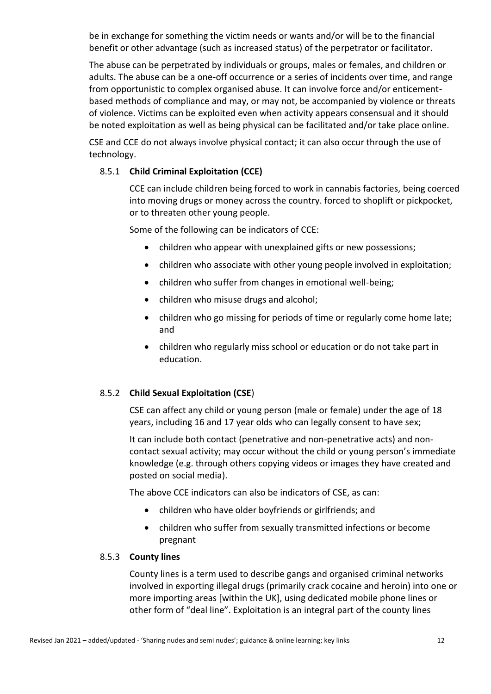be in exchange for something the victim needs or wants and/or will be to the financial benefit or other advantage (such as increased status) of the perpetrator or facilitator.

The abuse can be perpetrated by individuals or groups, males or females, and children or adults. The abuse can be a one-off occurrence or a series of incidents over time, and range from opportunistic to complex organised abuse. It can involve force and/or enticementbased methods of compliance and may, or may not, be accompanied by violence or threats of violence. Victims can be exploited even when activity appears consensual and it should be noted exploitation as well as being physical can be facilitated and/or take place online.

CSE and CCE do not always involve physical contact; it can also occur through the use of technology.

# 8.5.1 **Child Criminal Exploitation (CCE)**

CCE can include children being forced to work in cannabis factories, being coerced into moving drugs or money across the country. forced to shoplift or pickpocket, or to threaten other young people.

Some of the following can be indicators of CCE:

- children who appear with unexplained gifts or new possessions;
- children who associate with other young people involved in exploitation;
- children who suffer from changes in emotional well-being;
- children who misuse drugs and alcohol;
- children who go missing for periods of time or regularly come home late; and
- children who regularly miss school or education or do not take part in education.

# 8.5.2 **Child Sexual Exploitation (CSE**)

CSE can affect any child or young person (male or female) under the age of 18 years, including 16 and 17 year olds who can legally consent to have sex;

It can include both contact (penetrative and non-penetrative acts) and noncontact sexual activity; may occur without the child or young person's immediate knowledge (e.g. through others copying videos or images they have created and posted on social media).

The above CCE indicators can also be indicators of CSE, as can:

- children who have older boyfriends or girlfriends; and
- children who suffer from sexually transmitted infections or become pregnant

# 8.5.3 **County lines**

County lines is a term used to describe gangs and organised criminal networks involved in exporting illegal drugs (primarily crack cocaine and heroin) into one or more importing areas [within the UK], using dedicated mobile phone lines or other form of "deal line". Exploitation is an integral part of the county lines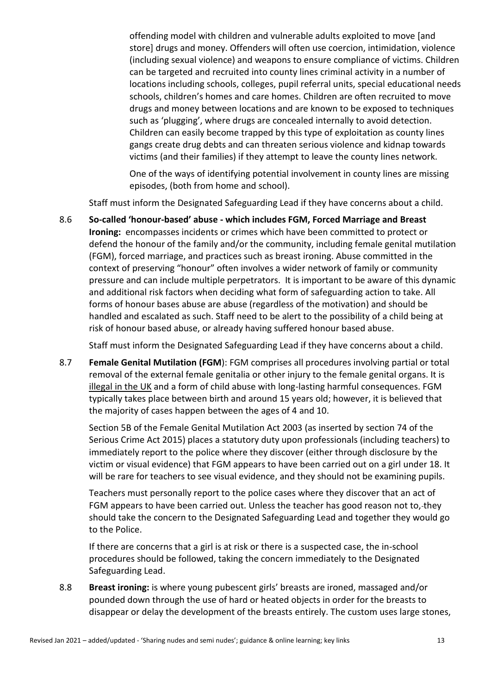offending model with children and vulnerable adults exploited to move [and store] drugs and money. Offenders will often use coercion, intimidation, violence (including sexual violence) and weapons to ensure compliance of victims. Children can be targeted and recruited into county lines criminal activity in a number of locations including schools, colleges, pupil referral units, special educational needs schools, children's homes and care homes. Children are often recruited to move drugs and money between locations and are known to be exposed to techniques such as 'plugging', where drugs are concealed internally to avoid detection. Children can easily become trapped by this type of exploitation as county lines gangs create drug debts and can threaten serious violence and kidnap towards victims (and their families) if they attempt to leave the county lines network.

One of the ways of identifying potential involvement in county lines are missing episodes, (both from home and school).

Staff must inform the Designated Safeguarding Lead if they have concerns about a child.

8.6 **So-called 'honour-based' abuse - which includes FGM, Forced Marriage and Breast Ironing:** encompasses incidents or crimes which have been committed to protect or defend the honour of the family and/or the community, including female genital mutilation (FGM), forced marriage, and practices such as breast ironing. Abuse committed in the context of preserving "honour" often involves a wider network of family or community pressure and can include multiple perpetrators. It is important to be aware of this dynamic and additional risk factors when deciding what form of safeguarding action to take. All forms of honour bases abuse are abuse (regardless of the motivation) and should be handled and escalated as such. Staff need to be alert to the possibility of a child being at risk of honour based abuse, or already having suffered honour based abuse.

Staff must inform the Designated Safeguarding Lead if they have concerns about a child.

8.7 **Female Genital Mutilation (FGM**): FGM comprises all procedures involving partial or total removal of the external female genitalia or other injury to the female genital organs. It is illegal in the UK and a form of child abuse with long-lasting harmful consequences. FGM typically takes place between birth and around 15 years old; however, it is believed that the majority of cases happen between the ages of 4 and 10.

Section 5B of the Female Genital Mutilation Act 2003 (as inserted by section 74 of the Serious Crime Act 2015) places a statutory duty upon professionals (including teachers) to immediately report to the police where they discover (either through disclosure by the victim or visual evidence) that FGM appears to have been carried out on a girl under 18. It will be rare for teachers to see visual evidence, and they should not be examining pupils.

Teachers must personally report to the police cases where they discover that an act of FGM appears to have been carried out. Unless the teacher has good reason not to, they should take the concern to the Designated Safeguarding Lead and together they would go to the Police.

If there are concerns that a girl is at risk or there is a suspected case, the in-school procedures should be followed, taking the concern immediately to the Designated Safeguarding Lead.

8.8 **Breast ironing:** is where young pubescent girls' breasts are ironed, massaged and/or pounded down through the use of hard or heated objects in order for the breasts to disappear or delay the development of the breasts entirely. The custom uses large stones,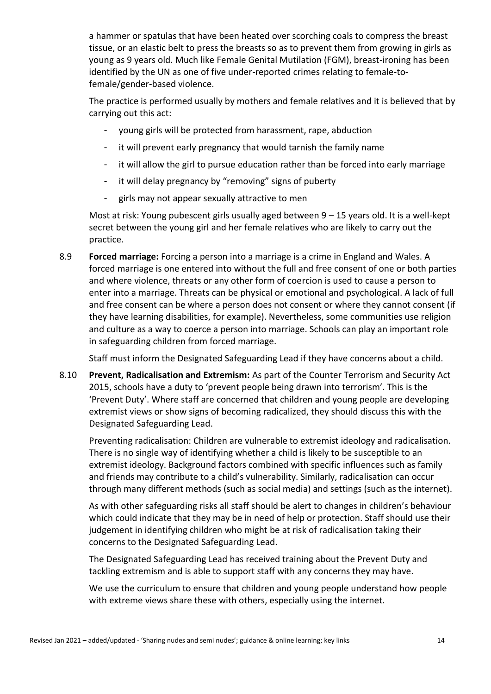a hammer or spatulas that have been heated over scorching coals to compress the breast tissue, or an elastic belt to press the breasts so as to prevent them from growing in girls as young as 9 years old. Much like Female Genital Mutilation (FGM), breast-ironing has been identified by the UN as one of five under-reported crimes relating to female-tofemale/gender-based violence.

The practice is performed usually by mothers and female relatives and it is believed that by carrying out this act:

- young girls will be protected from harassment, rape, abduction
- it will prevent early pregnancy that would tarnish the family name
- it will allow the girl to pursue education rather than be forced into early marriage
- it will delay pregnancy by "removing" signs of puberty
- girls may not appear sexually attractive to men

Most at risk: Young pubescent girls usually aged between 9 – 15 years old. It is a well-kept secret between the young girl and her female relatives who are likely to carry out the practice.

8.9 **Forced marriage:** Forcing a person into a marriage is a crime in England and Wales. A forced marriage is one entered into without the full and free consent of one or both parties and where violence, threats or any other form of coercion is used to cause a person to enter into a marriage. Threats can be physical or emotional and psychological. A lack of full and free consent can be where a person does not consent or where they cannot consent (if they have learning disabilities, for example). Nevertheless, some communities use religion and culture as a way to coerce a person into marriage. Schools can play an important role in safeguarding children from forced marriage.

Staff must inform the Designated Safeguarding Lead if they have concerns about a child.

8.10 **Prevent, Radicalisation and Extremism:** As part of the Counter Terrorism and Security Act 2015, schools have a duty to 'prevent people being drawn into terrorism'. This is the 'Prevent Duty'. Where staff are concerned that children and young people are developing extremist views or show signs of becoming radicalized, they should discuss this with the Designated Safeguarding Lead.

Preventing radicalisation: Children are vulnerable to extremist ideology and radicalisation. There is no single way of identifying whether a child is likely to be susceptible to an extremist ideology. Background factors combined with specific influences such as family and friends may contribute to a child's vulnerability. Similarly, radicalisation can occur through many different methods (such as social media) and settings (such as the internet).

As with other safeguarding risks all staff should be alert to changes in children's behaviour which could indicate that they may be in need of help or protection. Staff should use their judgement in identifying children who might be at risk of radicalisation taking their concerns to the Designated Safeguarding Lead.

The Designated Safeguarding Lead has received training about the Prevent Duty and tackling extremism and is able to support staff with any concerns they may have.

We use the curriculum to ensure that children and young people understand how people with extreme views share these with others, especially using the internet.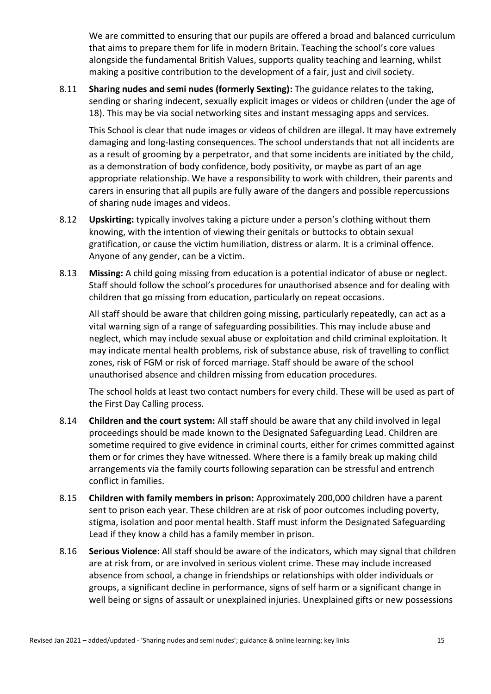We are committed to ensuring that our pupils are offered a broad and balanced curriculum that aims to prepare them for life in modern Britain. Teaching the school's core values alongside the fundamental British Values, supports quality teaching and learning, whilst making a positive contribution to the development of a fair, just and civil society.

8.11 **Sharing nudes and semi nudes (formerly Sexting):** The guidance relates to the taking, sending or sharing indecent, sexually explicit images or videos or children (under the age of 18). This may be via social networking sites and instant messaging apps and services.

This School is clear that nude images or videos of children are illegal. It may have extremely damaging and long-lasting consequences. The school understands that not all incidents are as a result of grooming by a perpetrator, and that some incidents are initiated by the child, as a demonstration of body confidence, body positivity, or maybe as part of an age appropriate relationship. We have a responsibility to work with children, their parents and carers in ensuring that all pupils are fully aware of the dangers and possible repercussions of sharing nude images and videos.

- 8.12 **Upskirting:** typically involves taking a picture under a person's clothing without them knowing, with the intention of viewing their genitals or buttocks to obtain sexual gratification, or cause the victim humiliation, distress or alarm. It is a criminal offence. Anyone of any gender, can be a victim.
- 8.13 **Missing:** A child going missing from education is a potential indicator of abuse or neglect. Staff should follow the school's procedures for unauthorised absence and for dealing with children that go missing from education, particularly on repeat occasions.

All staff should be aware that children going missing, particularly repeatedly, can act as a vital warning sign of a range of safeguarding possibilities. This may include abuse and neglect, which may include sexual abuse or exploitation and child criminal exploitation. It may indicate mental health problems, risk of substance abuse, risk of travelling to conflict zones, risk of FGM or risk of forced marriage. Staff should be aware of the school unauthorised absence and children missing from education procedures.

The school holds at least two contact numbers for every child. These will be used as part of the First Day Calling process.

- 8.14 **Children and the court system:** All staff should be aware that any child involved in legal proceedings should be made known to the Designated Safeguarding Lead. Children are sometime required to give evidence in criminal courts, either for crimes committed against them or for crimes they have witnessed. Where there is a family break up making child arrangements via the family courts following separation can be stressful and entrench conflict in families.
- 8.15 **Children with family members in prison:** Approximately 200,000 children have a parent sent to prison each year. These children are at risk of poor outcomes including poverty, stigma, isolation and poor mental health. Staff must inform the Designated Safeguarding Lead if they know a child has a family member in prison.
- 8.16 **Serious Violence**: All staff should be aware of the indicators, which may signal that children are at risk from, or are involved in serious violent crime. These may include increased absence from school, a change in friendships or relationships with older individuals or groups, a significant decline in performance, signs of self harm or a significant change in well being or signs of assault or unexplained injuries. Unexplained gifts or new possessions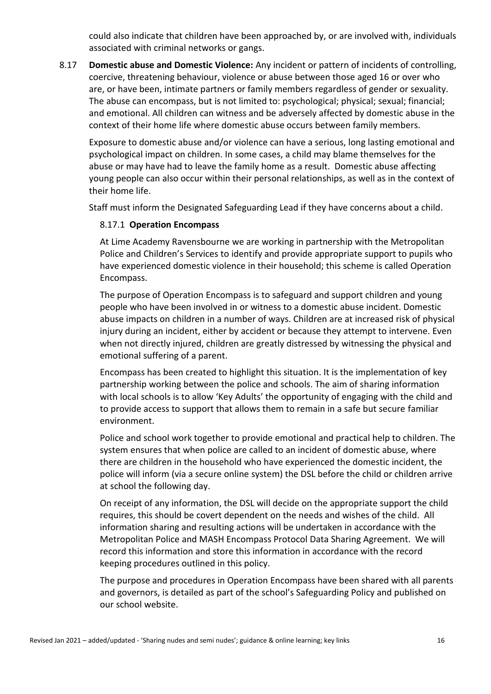could also indicate that children have been approached by, or are involved with, individuals associated with criminal networks or gangs.

8.17 **Domestic abuse and Domestic Violence:** Any incident or pattern of incidents of controlling, coercive, threatening behaviour, violence or abuse between those aged 16 or over who are, or have been, intimate partners or family members regardless of gender or sexuality. The abuse can encompass, but is not limited to: psychological; physical; sexual; financial; and emotional. All children can witness and be adversely affected by domestic abuse in the context of their home life where domestic abuse occurs between family members.

Exposure to domestic abuse and/or violence can have a serious, long lasting emotional and psychological impact on children. In some cases, a child may blame themselves for the abuse or may have had to leave the family home as a result. Domestic abuse affecting young people can also occur within their personal relationships, as well as in the context of their home life.

Staff must inform the Designated Safeguarding Lead if they have concerns about a child.

# 8.17.1 **Operation Encompass**

At Lime Academy Ravensbourne we are working in partnership with the Metropolitan Police and Children's Services to identify and provide appropriate support to pupils who have experienced domestic violence in their household; this scheme is called Operation Encompass.

The purpose of Operation Encompass is to safeguard and support children and young people who have been involved in or witness to a domestic abuse incident. Domestic abuse impacts on children in a number of ways. Children are at increased risk of physical injury during an incident, either by accident or because they attempt to intervene. Even when not directly injured, children are greatly distressed by witnessing the physical and emotional suffering of a parent.

Encompass has been created to highlight this situation. It is the implementation of key partnership working between the police and schools. The aim of sharing information with local schools is to allow 'Key Adults' the opportunity of engaging with the child and to provide access to support that allows them to remain in a safe but secure familiar environment.

Police and school work together to provide emotional and practical help to children. The system ensures that when police are called to an incident of domestic abuse, where there are children in the household who have experienced the domestic incident, the police will inform (via a secure online system) the DSL before the child or children arrive at school the following day.

On receipt of any information, the DSL will decide on the appropriate support the child requires, this should be covert dependent on the needs and wishes of the child. All information sharing and resulting actions will be undertaken in accordance with the Metropolitan Police and MASH Encompass Protocol Data Sharing Agreement. We will record this information and store this information in accordance with the record keeping procedures outlined in this policy.

The purpose and procedures in Operation Encompass have been shared with all parents and governors, is detailed as part of the school's Safeguarding Policy and published on our school website.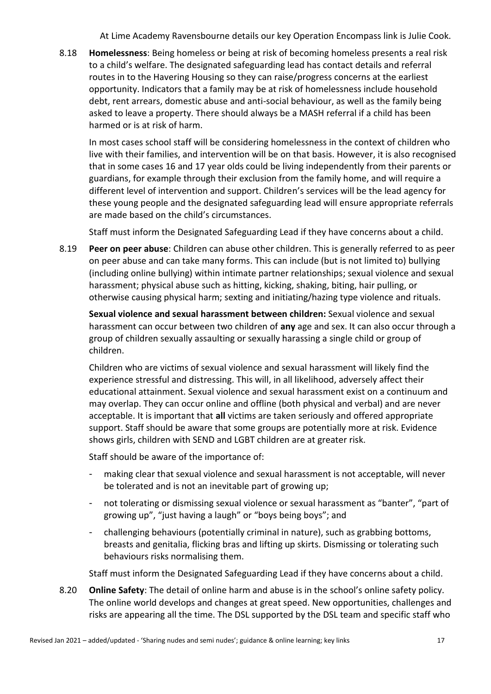At Lime Academy Ravensbourne details our key Operation Encompass link is Julie Cook.

8.18 **Homelessness**: Being homeless or being at risk of becoming homeless presents a real risk to a child's welfare. The designated safeguarding lead has contact details and referral routes in to the Havering Housing so they can raise/progress concerns at the earliest opportunity. Indicators that a family may be at risk of homelessness include household debt, rent arrears, domestic abuse and anti-social behaviour, as well as the family being asked to leave a property. There should always be a MASH referral if a child has been harmed or is at risk of harm.

In most cases school staff will be considering homelessness in the context of children who live with their families, and intervention will be on that basis. However, it is also recognised that in some cases 16 and 17 year olds could be living independently from their parents or guardians, for example through their exclusion from the family home, and will require a different level of intervention and support. Children's services will be the lead agency for these young people and the designated safeguarding lead will ensure appropriate referrals are made based on the child's circumstances.

Staff must inform the Designated Safeguarding Lead if they have concerns about a child.

8.19 **Peer on peer abuse**: Children can abuse other children. This is generally referred to as peer on peer abuse and can take many forms. This can include (but is not limited to) bullying (including online bullying) within intimate partner relationships; sexual violence and sexual harassment; physical abuse such as hitting, kicking, shaking, biting, hair pulling, or otherwise causing physical harm; sexting and initiating/hazing type violence and rituals.

**Sexual violence and sexual harassment between children:** Sexual violence and sexual harassment can occur between two children of **any** age and sex. It can also occur through a group of children sexually assaulting or sexually harassing a single child or group of children.

Children who are victims of sexual violence and sexual harassment will likely find the experience stressful and distressing. This will, in all likelihood, adversely affect their educational attainment. Sexual violence and sexual harassment exist on a continuum and may overlap. They can occur online and offline (both physical and verbal) and are never acceptable. It is important that **all** victims are taken seriously and offered appropriate support. Staff should be aware that some groups are potentially more at risk. Evidence shows girls, children with SEND and LGBT children are at greater risk.

Staff should be aware of the importance of:

- making clear that sexual violence and sexual harassment is not acceptable, will never be tolerated and is not an inevitable part of growing up;
- not tolerating or dismissing sexual violence or sexual harassment as "banter", "part of growing up", "just having a laugh" or "boys being boys"; and
- challenging behaviours (potentially criminal in nature), such as grabbing bottoms, breasts and genitalia, flicking bras and lifting up skirts. Dismissing or tolerating such behaviours risks normalising them.

Staff must inform the Designated Safeguarding Lead if they have concerns about a child.

8.20 **Online Safety**: The detail of online harm and abuse is in the school's online safety policy. The online world develops and changes at great speed. New opportunities, challenges and risks are appearing all the time. The DSL supported by the DSL team and specific staff who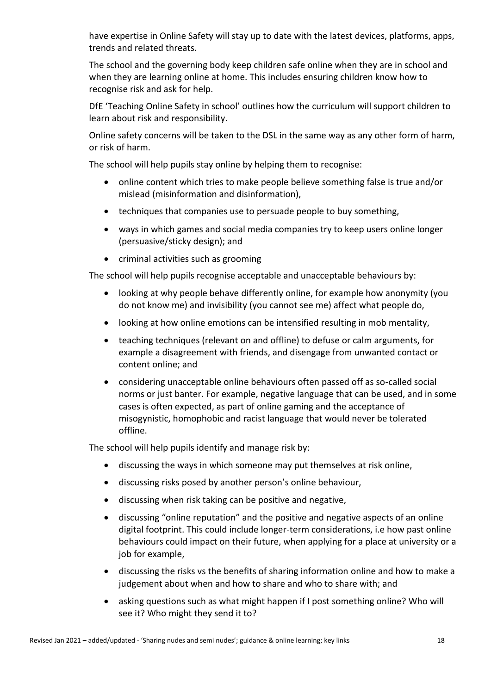have expertise in Online Safety will stay up to date with the latest devices, platforms, apps, trends and related threats.

The school and the governing body keep children safe online when they are in school and when they are learning online at home. This includes ensuring children know how to recognise risk and ask for help.

DfE 'Teaching Online Safety in school' outlines how the curriculum will support children to learn about risk and responsibility.

Online safety concerns will be taken to the DSL in the same way as any other form of harm, or risk of harm.

The school will help pupils stay online by helping them to recognise:

- online content which tries to make people believe something false is true and/or mislead (misinformation and disinformation),
- techniques that companies use to persuade people to buy something,
- ways in which games and social media companies try to keep users online longer (persuasive/sticky design); and
- criminal activities such as grooming

The school will help pupils recognise acceptable and unacceptable behaviours by:

- looking at why people behave differently online, for example how anonymity (you do not know me) and invisibility (you cannot see me) affect what people do,
- looking at how online emotions can be intensified resulting in mob mentality,
- teaching techniques (relevant on and offline) to defuse or calm arguments, for example a disagreement with friends, and disengage from unwanted contact or content online; and
- considering unacceptable online behaviours often passed off as so-called social norms or just banter. For example, negative language that can be used, and in some cases is often expected, as part of online gaming and the acceptance of misogynistic, homophobic and racist language that would never be tolerated offline.

The school will help pupils identify and manage risk by:

- discussing the ways in which someone may put themselves at risk online,
- discussing risks posed by another person's online behaviour,
- discussing when risk taking can be positive and negative,
- discussing "online reputation" and the positive and negative aspects of an online digital footprint. This could include longer-term considerations, i.e how past online behaviours could impact on their future, when applying for a place at university or a job for example,
- discussing the risks vs the benefits of sharing information online and how to make a judgement about when and how to share and who to share with; and
- asking questions such as what might happen if I post something online? Who will see it? Who might they send it to?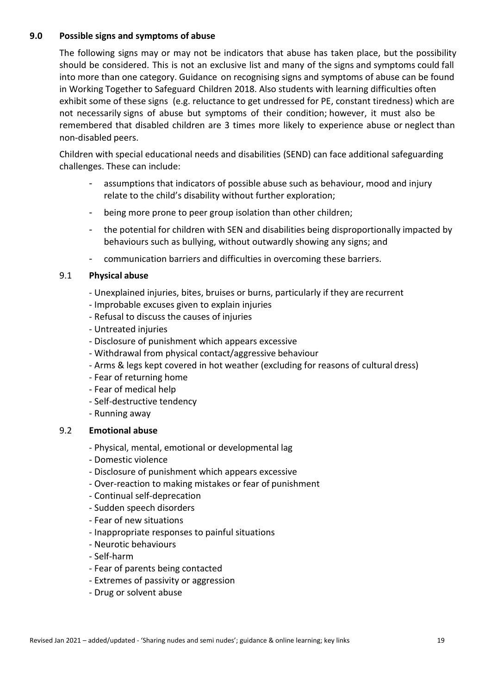#### **9.0 Possible signs and symptoms of abuse**

The following signs may or may not be indicators that abuse has taken place, but the possibility should be considered. This is not an exclusive list and many of the signs and symptoms could fall into more than one category. Guidance on recognising signs and symptoms of abuse can be found in Working Together to Safeguard Children 2018. Also students with learning difficulties often exhibit some of these signs (e.g. reluctance to get undressed for PE, constant tiredness) which are not necessarily signs of abuse but symptoms of their condition; however, it must also be remembered that disabled children are 3 times more likely to experience abuse or neglect than non-disabled peers.

Children with special educational needs and disabilities (SEND) can face additional safeguarding challenges. These can include:

- assumptions that indicators of possible abuse such as behaviour, mood and injury relate to the child's disability without further exploration;
- being more prone to peer group isolation than other children;
- the potential for children with SEN and disabilities being disproportionally impacted by behaviours such as bullying, without outwardly showing any signs; and
- communication barriers and difficulties in overcoming these barriers.

# 9.1 **Physical abuse**

- Unexplained injuries, bites, bruises or burns, particularly if they are recurrent
- Improbable excuses given to explain injuries
- Refusal to discuss the causes of injuries
- Untreated injuries
- Disclosure of punishment which appears excessive
- Withdrawal from physical contact/aggressive behaviour
- Arms & legs kept covered in hot weather (excluding for reasons of cultural dress)
- Fear of returning home
- Fear of medical help
- Self-destructive tendency
- Running away

# 9.2 **Emotional abuse**

- Physical, mental, emotional or developmental lag
- Domestic violence
- Disclosure of punishment which appears excessive
- Over-reaction to making mistakes or fear of punishment
- Continual self-deprecation
- Sudden speech disorders
- Fear of new situations
- Inappropriate responses to painful situations
- Neurotic behaviours
- Self-harm
- Fear of parents being contacted
- Extremes of passivity or aggression
- Drug or solvent abuse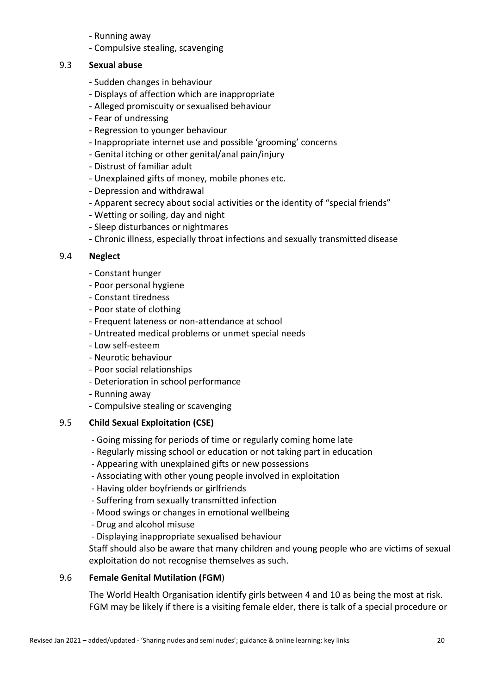- Running away
- Compulsive stealing, scavenging

#### 9.3 **Sexual abuse**

- Sudden changes in behaviour
- Displays of affection which are inappropriate
- Alleged promiscuity or sexualised behaviour
- Fear of undressing
- Regression to younger behaviour
- Inappropriate internet use and possible 'grooming' concerns
- Genital itching or other genital/anal pain/injury
- Distrust of familiar adult
- Unexplained gifts of money, mobile phones etc.
- Depression and withdrawal
- Apparent secrecy about social activities or the identity of "special friends"
- Wetting or soiling, day and night
- Sleep disturbances or nightmares
- Chronic illness, especially throat infections and sexually transmitted disease

#### 9.4 **Neglect**

- Constant hunger
- Poor personal hygiene
- Constant tiredness
- Poor state of clothing
- Frequent lateness or non-attendance at school
- Untreated medical problems or unmet special needs
- Low self-esteem
- Neurotic behaviour
- Poor social relationships
- Deterioration in school performance
- Running away
- Compulsive stealing or scavenging

# 9.5 **Child Sexual Exploitation (CSE)**

- Going missing for periods of time or regularly coming home late
- Regularly missing school or education or not taking part in education
- Appearing with unexplained gifts or new possessions
- Associating with other young people involved in exploitation
- Having older boyfriends or girlfriends
- Suffering from sexually transmitted infection
- Mood swings or changes in emotional wellbeing
- Drug and alcohol misuse
- Displaying inappropriate sexualised behaviour

Staff should also be aware that many children and young people who are victims of sexual exploitation do not recognise themselves as such.

#### 9.6 **Female Genital Mutilation (FGM**)

The World Health Organisation identify girls between 4 and 10 as being the most at risk. FGM may be likely if there is a visiting female elder, there is talk of a special procedure or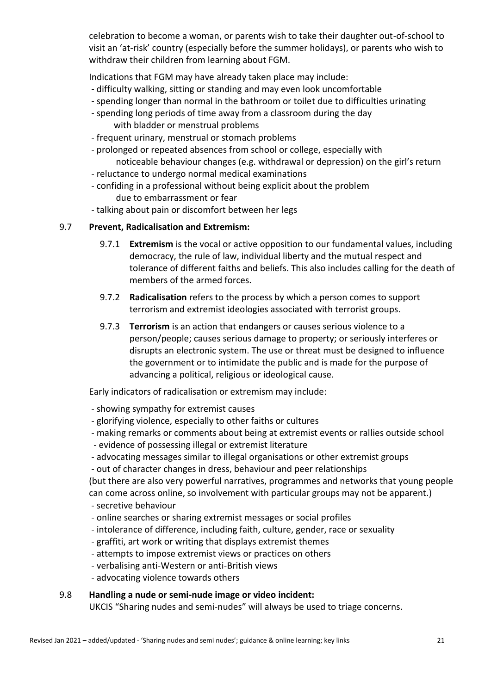celebration to become a woman, or parents wish to take their daughter out-of-school to visit an 'at-risk' country (especially before the summer holidays), or parents who wish to withdraw their children from learning about FGM.

Indications that FGM may have already taken place may include:

- difficulty walking, sitting or standing and may even look uncomfortable
- spending longer than normal in the bathroom or toilet due to difficulties urinating
- spending long periods of time away from a classroom during the day with bladder or menstrual problems
- frequent urinary, menstrual or stomach problems
- prolonged or repeated absences from school or college, especially with
- noticeable behaviour changes (e.g. withdrawal or depression) on the girl's return - reluctance to undergo normal medical examinations
- confiding in a professional without being explicit about the problem due to embarrassment or fear
- talking about pain or discomfort between her legs

#### 9.7 **Prevent, Radicalisation and Extremism:**

- 9.7.1 **Extremism** is the vocal or active opposition to our fundamental values, including democracy, the rule of law, individual liberty and the mutual respect and tolerance of different faiths and beliefs. This also includes calling for the death of members of the armed forces.
- 9.7.2 **Radicalisation** refers to the process by which a person comes to support terrorism and extremist ideologies associated with terrorist groups.
- 9.7.3 **Terrorism** is an action that endangers or causes serious violence to a person/people; causes serious damage to property; or seriously interferes or disrupts an electronic system. The use or threat must be designed to influence the government or to intimidate the public and is made for the purpose of advancing a political, religious or ideological cause.

Early indicators of radicalisation or extremism may include:

- showing sympathy for extremist causes
- glorifying violence, especially to other faiths or cultures
- making remarks or comments about being at extremist events or rallies outside school
- evidence of possessing illegal or extremist literature
- advocating messages similar to illegal organisations or other extremist groups
- out of character changes in dress, behaviour and peer relationships

(but there are also very powerful narratives, programmes and networks that young people can come across online, so involvement with particular groups may not be apparent.)

- secretive behaviour
- online searches or sharing extremist messages or social profiles
- intolerance of difference, including faith, culture, gender, race or sexuality
- graffiti, art work or writing that displays extremist themes
- attempts to impose extremist views or practices on others
- verbalising anti-Western or anti-British views
- advocating violence towards others

# 9.8 **Handling a nude or semi-nude image or video incident:**

UKCIS "Sharing nudes and semi-nudes" will always be used to triage concerns.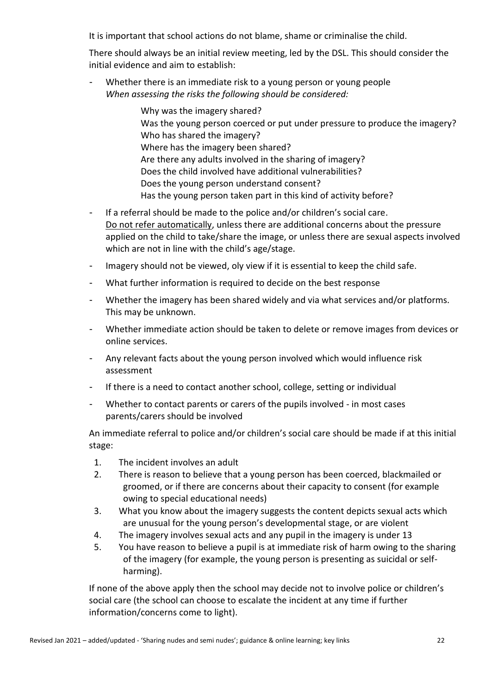It is important that school actions do not blame, shame or criminalise the child.

There should always be an initial review meeting, led by the DSL. This should consider the initial evidence and aim to establish:

Whether there is an immediate risk to a young person or young people *When assessing the risks the following should be considered:* 

> Why was the imagery shared? Was the young person coerced or put under pressure to produce the imagery? Who has shared the imagery? Where has the imagery been shared? Are there any adults involved in the sharing of imagery? Does the child involved have additional vulnerabilities? Does the young person understand consent? Has the young person taken part in this kind of activity before?

- If a referral should be made to the police and/or children's social care. Do not refer automatically, unless there are additional concerns about the pressure applied on the child to take/share the image, or unless there are sexual aspects involved which are not in line with the child's age/stage.
- Imagery should not be viewed, oly view if it is essential to keep the child safe.
- What further information is required to decide on the best response
- Whether the imagery has been shared widely and via what services and/or platforms. This may be unknown.
- Whether immediate action should be taken to delete or remove images from devices or online services.
- Any relevant facts about the young person involved which would influence risk assessment
- If there is a need to contact another school, college, setting or individual
- Whether to contact parents or carers of the pupils involved in most cases parents/carers should be involved

An immediate referral to police and/or children's social care should be made if at this initial stage:

- 1. The incident involves an adult
- 2. There is reason to believe that a young person has been coerced, blackmailed or groomed, or if there are concerns about their capacity to consent (for example owing to special educational needs)
- 3. What you know about the imagery suggests the content depicts sexual acts which are unusual for the young person's developmental stage, or are violent
- 4. The imagery involves sexual acts and any pupil in the imagery is under 13
- 5. You have reason to believe a pupil is at immediate risk of harm owing to the sharing of the imagery (for example, the young person is presenting as suicidal or selfharming).

If none of the above apply then the school may decide not to involve police or children's social care (the school can choose to escalate the incident at any time if further information/concerns come to light).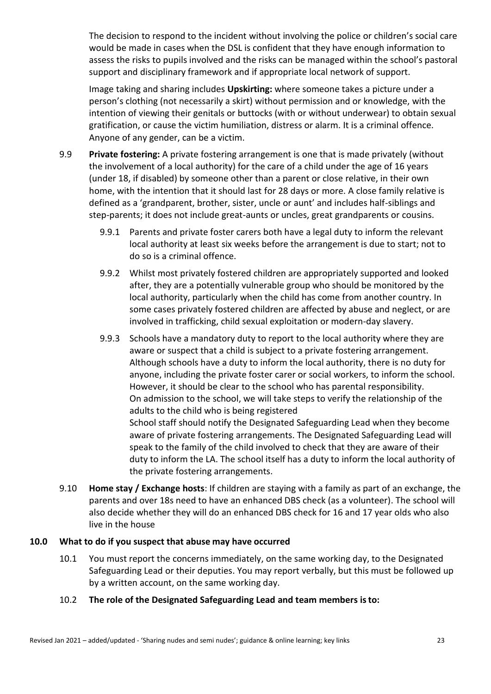The decision to respond to the incident without involving the police or children's social care would be made in cases when the DSL is confident that they have enough information to assess the risks to pupils involved and the risks can be managed within the school's pastoral support and disciplinary framework and if appropriate local network of support.

Image taking and sharing includes **Upskirting:** where someone takes a picture under a person's clothing (not necessarily a skirt) without permission and or knowledge, with the intention of viewing their genitals or buttocks (with or without underwear) to obtain sexual gratification, or cause the victim humiliation, distress or alarm. It is a criminal offence. Anyone of any gender, can be a victim.

- 9.9 **Private fostering:** A private fostering arrangement is one that is made privately (without the involvement of a local authority) for the care of a child under the age of 16 years (under 18, if disabled) by someone other than a parent or close relative, in their own home, with the intention that it should last for 28 days or more. A close family relative is defined as a 'grandparent, brother, sister, uncle or aunt' and includes half-siblings and step-parents; it does not include great-aunts or uncles, great grandparents or cousins.
	- 9.9.1 Parents and private foster carers both have a legal duty to inform the relevant local authority at least six weeks before the arrangement is due to start; not to do so is a criminal offence.
	- 9.9.2 Whilst most privately fostered children are appropriately supported and looked after, they are a potentially vulnerable group who should be monitored by the local authority, particularly when the child has come from another country. In some cases privately fostered children are affected by abuse and neglect, or are involved in trafficking, child sexual exploitation or modern-day slavery.
	- 9.9.3 Schools have a mandatory duty to report to the local authority where they are aware or suspect that a child is subject to a private fostering arrangement. Although schools have a duty to inform the local authority, there is no duty for anyone, including the private foster carer or social workers, to inform the school. However, it should be clear to the school who has parental responsibility. On admission to the school, we will take steps to verify the relationship of the adults to the child who is being registered School staff should notify the Designated Safeguarding Lead when they become aware of private fostering arrangements. The Designated Safeguarding Lead will speak to the family of the child involved to check that they are aware of their duty to inform the LA. The school itself has a duty to inform the local authority of
- 9.10 **Home stay / Exchange hosts**: If children are staying with a family as part of an exchange, the parents and over 18s need to have an enhanced DBS check (as a volunteer). The school will also decide whether they will do an enhanced DBS check for 16 and 17 year olds who also live in the house

# **10.0 What to do if you suspect that abuse may have occurred**

- 10.1 You must report the concerns immediately, on the same working day, to the Designated Safeguarding Lead or their deputies. You may report verbally, but this must be followed up by a written account, on the same working day.
- 10.2 **The role of the Designated Safeguarding Lead and team members isto:**

the private fostering arrangements.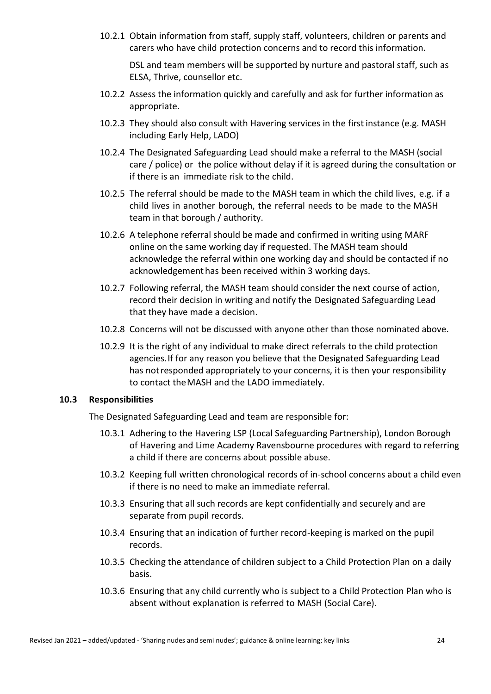10.2.1 Obtain information from staff, supply staff, volunteers, children or parents and carers who have child protection concerns and to record this information.

DSL and team members will be supported by nurture and pastoral staff, such as ELSA, Thrive, counsellor etc.

- 10.2.2 Assess the information quickly and carefully and ask for further information as appropriate.
- 10.2.3 They should also consult with Havering services in the first instance (e.g. MASH including Early Help, LADO)
- 10.2.4 The Designated Safeguarding Lead should make a referral to the MASH (social care / police) or the police without delay if it is agreed during the consultation or if there is an immediate risk to the child.
- 10.2.5 The referral should be made to the MASH team in which the child lives, e.g. if a child lives in another borough, the referral needs to be made to the MASH team in that borough / authority.
- 10.2.6 A telephone referral should be made and confirmed in writing using MARF online on the same working day if requested. The MASH team should acknowledge the referral within one working day and should be contacted if no acknowledgement has been received within 3 working days.
- 10.2.7 Following referral, the MASH team should consider the next course of action, record their decision in writing and notify the Designated Safeguarding Lead that they have made a decision.
- 10.2.8 Concerns will not be discussed with anyone other than those nominated above.
- 10.2.9 It is the right of any individual to make direct referrals to the child protection agencies.If for any reason you believe that the Designated Safeguarding Lead has notresponded appropriately to your concerns, it is then your responsibility to contact theMASH and the LADO immediately.

#### **10.3 Responsibilities**

The Designated Safeguarding Lead and team are responsible for:

- 10.3.1 Adhering to the Havering LSP (Local Safeguarding Partnership), London Borough of Havering and Lime Academy Ravensbourne procedures with regard to referring a child if there are concerns about possible abuse.
- 10.3.2 Keeping full written chronological records of in-school concerns about a child even if there is no need to make an immediate referral.
- 10.3.3 Ensuring that all such records are kept confidentially and securely and are separate from pupil records.
- 10.3.4 Ensuring that an indication of further record-keeping is marked on the pupil records.
- 10.3.5 Checking the attendance of children subject to a Child Protection Plan on a daily basis.
- 10.3.6 Ensuring that any child currently who is subject to a Child Protection Plan who is absent without explanation is referred to MASH (Social Care).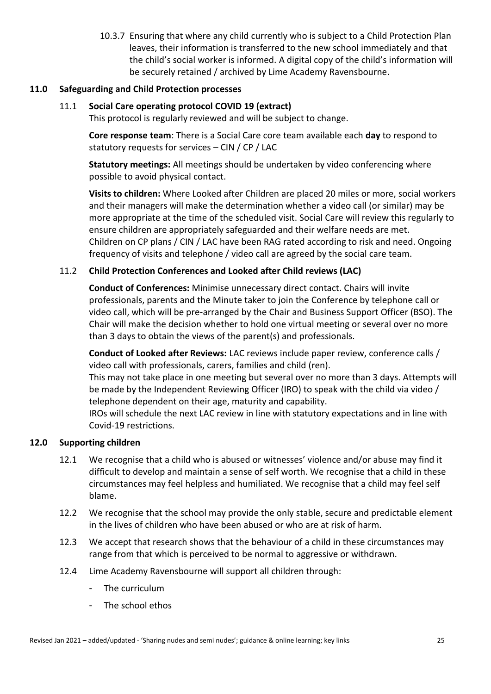10.3.7 Ensuring that where any child currently who is subject to a Child Protection Plan leaves, their information is transferred to the new school immediately and that the child's social worker is informed. A digital copy of the child's information will be securely retained / archived by Lime Academy Ravensbourne.

# **11.0 Safeguarding and Child Protection processes**

#### 11.1 **Social Care operating protocol COVID 19 (extract)**

This protocol is regularly reviewed and will be subject to change.

**Core response team**: There is a Social Care core team available each **day** to respond to statutory requests for services – CIN / CP / LAC

**Statutory meetings:** All meetings should be undertaken by video conferencing where possible to avoid physical contact.

**Visits to children:** Where Looked after Children are placed 20 miles or more, social workers and their managers will make the determination whether a video call (or similar) may be more appropriate at the time of the scheduled visit. Social Care will review this regularly to ensure children are appropriately safeguarded and their welfare needs are met. Children on CP plans / CIN / LAC have been RAG rated according to risk and need. Ongoing frequency of visits and telephone / video call are agreed by the social care team.

# 11.2 **Child Protection Conferences and Looked after Child reviews (LAC)**

**Conduct of Conferences:** Minimise unnecessary direct contact. Chairs will invite professionals, parents and the Minute taker to join the Conference by telephone call or video call, which will be pre-arranged by the Chair and Business Support Officer (BSO). The Chair will make the decision whether to hold one virtual meeting or several over no more than 3 days to obtain the views of the parent(s) and professionals.

**Conduct of Looked after Reviews:** LAC reviews include paper review, conference calls / video call with professionals, carers, families and child (ren).

This may not take place in one meeting but several over no more than 3 days. Attempts will be made by the Independent Reviewing Officer (IRO) to speak with the child via video / telephone dependent on their age, maturity and capability.

IROs will schedule the next LAC review in line with statutory expectations and in line with Covid-19 restrictions.

#### **12.0 Supporting children**

- 12.1 We recognise that a child who is abused or witnesses' violence and/or abuse may find it difficult to develop and maintain a sense of self worth. We recognise that a child in these circumstances may feel helpless and humiliated. We recognise that a child may feel self blame.
- 12.2 We recognise that the school may provide the only stable, secure and predictable element in the lives of children who have been abused or who are at risk of harm.
- 12.3 We accept that research shows that the behaviour of a child in these circumstances may range from that which is perceived to be normal to aggressive or withdrawn.
- 12.4 Lime Academy Ravensbourne will support all children through:
	- The curriculum
	- The school ethos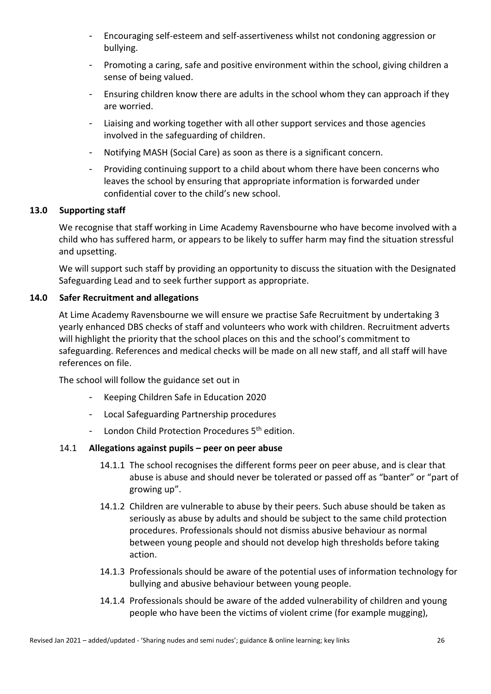- Encouraging self-esteem and self-assertiveness whilst not condoning aggression or bullying.
- Promoting a caring, safe and positive environment within the school, giving children a sense of being valued.
- Ensuring children know there are adults in the school whom they can approach if they are worried.
- Liaising and working together with all other support services and those agencies involved in the safeguarding of children.
- Notifying MASH (Social Care) as soon as there is a significant concern.
- Providing continuing support to a child about whom there have been concerns who leaves the school by ensuring that appropriate information is forwarded under confidential cover to the child's new school.

# **13.0 Supporting staff**

We recognise that staff working in Lime Academy Ravensbourne who have become involved with a child who has suffered harm, or appears to be likely to suffer harm may find the situation stressful and upsetting.

We will support such staff by providing an opportunity to discuss the situation with the Designated Safeguarding Lead and to seek further support as appropriate.

# **14.0 Safer Recruitment and allegations**

At Lime Academy Ravensbourne we will ensure we practise Safe Recruitment by undertaking 3 yearly enhanced DBS checks of staff and volunteers who work with children. Recruitment adverts will highlight the priority that the school places on this and the school's commitment to safeguarding. References and medical checks will be made on all new staff, and all staff will have references on file.

The school will follow the guidance set out in

- Keeping Children Safe in Education 2020
- Local Safeguarding Partnership procedures
- London Child Protection Procedures 5<sup>th</sup> edition.

# 14.1 **Allegations against pupils – peer on peer abuse**

- 14.1.1 The school recognises the different forms peer on peer abuse, and is clear that abuse is abuse and should never be tolerated or passed off as "banter" or "part of growing up".
- 14.1.2 Children are vulnerable to abuse by their peers. Such abuse should be taken as seriously as abuse by adults and should be subject to the same child protection procedures. Professionals should not dismiss abusive behaviour as normal between young people and should not develop high thresholds before taking action.
- 14.1.3 Professionals should be aware of the potential uses of information technology for bullying and abusive behaviour between young people.
- 14.1.4 Professionals should be aware of the added vulnerability of children and young people who have been the victims of violent crime (for example mugging),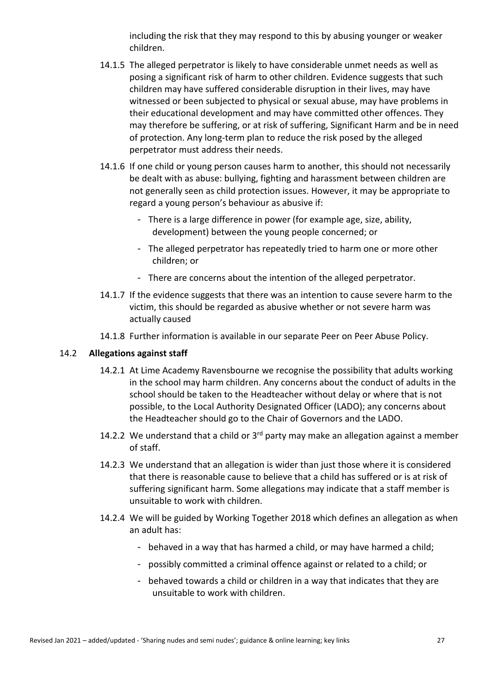including the risk that they may respond to this by abusing younger or weaker children.

- 14.1.5 The alleged perpetrator is likely to have considerable unmet needs as well as posing a significant risk of harm to other children. Evidence suggests that such children may have suffered considerable disruption in their lives, may have witnessed or been subjected to physical or [sexual abuse,](http://trixresources.proceduresonline.com/nat_key/keywords/sexual_abuse.html) may have problems in their educational development and may have committed other offences. They may therefore be suffering, or at risk of suffering, [Significant Harm](http://trixresources.proceduresonline.com/nat_key/keywords/significant_harm.html) and be in need of protection. Any long-term plan to reduce the risk posed by the alleged perpetrator must address their needs.
- 14.1.6 If one child or young person causes harm to another, this should not necessarily be dealt with as abuse: bullying, fighting and harassment between children are not generally seen as child protection issues. However, it may be appropriate to regard a young person's behaviour as abusive if:
	- There is a large difference in power (for example age, size, ability, development) between the young people concerned; or
	- The alleged perpetrator has repeatedly tried to harm one or more other children; or
	- There are concerns about the intention of the alleged perpetrator.
- 14.1.7 If the evidence suggests that there was an intention to cause severe harm to the victim, this should be regarded as abusive whether or not severe harm was actually caused
- 14.1.8 Further information is available in our separate Peer on Peer Abuse Policy.

# 14.2 **Allegations against staff**

- 14.2.1 At Lime Academy Ravensbourne we recognise the possibility that adults working in the school may harm children. Any concerns about the conduct of adults in the school should be taken to the Headteacher without delay or where that is not possible, to the Local Authority Designated Officer (LADO); any concerns about the Headteacher should go to the Chair of Governors and the LADO.
- 14.2.2 We understand that a child or  $3<sup>rd</sup>$  party may make an allegation against a member of staff.
- 14.2.3 We understand that an allegation is wider than just those where it is considered that there is reasonable cause to believe that a child has suffered or is at risk of suffering significant harm. Some allegations may indicate that a staff member is unsuitable to work with children.
- 14.2.4 We will be guided by Working Together 2018 which defines an allegation as when an adult has:
	- behaved in a way that has harmed a child, or may have harmed a child;
	- possibly committed a criminal offence against or related to a child; or
	- behaved towards a child or children in a way that indicates that they are unsuitable to work with children.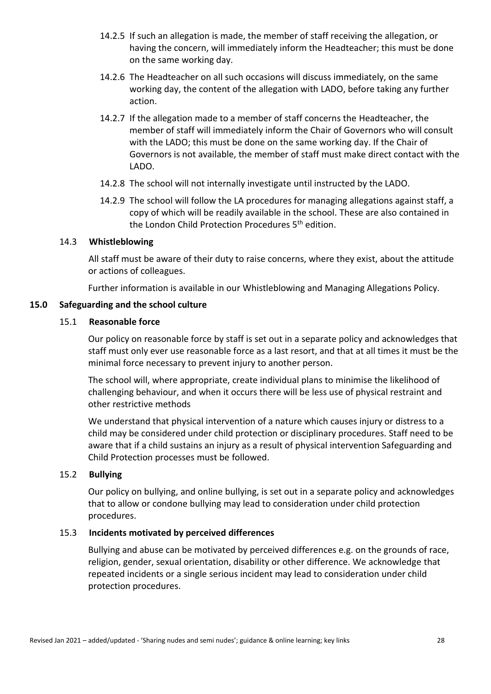- 14.2.5 If such an allegation is made, the member of staff receiving the allegation, or having the concern, will immediately inform the Headteacher; this must be done on the same working day.
- 14.2.6 The Headteacher on all such occasions will discuss immediately, on the same working day, the content of the allegation with LADO, before taking any further action.
- 14.2.7 If the allegation made to a member of staff concerns the Headteacher, the member of staff will immediately inform the Chair of Governors who will consult with the LADO; this must be done on the same working day. If the Chair of Governors is not available, the member of staff must make direct contact with the LADO.
- 14.2.8 The school will not internally investigate until instructed by the LADO.
- 14.2.9 The school will follow the LA procedures for managing allegations against staff, a copy of which will be readily available in the school. These are also contained in the London Child Protection Procedures 5<sup>th</sup> edition.

# 14.3 **Whistleblowing**

All staff must be aware of their duty to raise concerns, where they exist, about the attitude or actions of colleagues.

Further information is available in our Whistleblowing and Managing Allegations Policy.

#### **15.0 Safeguarding and the school culture**

#### 15.1 **Reasonable force**

Our policy on reasonable force by staff is set out in a separate policy and acknowledges that staff must only ever use reasonable force as a last resort, and that at all times it must be the minimal force necessary to prevent injury to another person.

The school will, where appropriate, create individual plans to minimise the likelihood of challenging behaviour, and when it occurs there will be less use of physical restraint and other restrictive methods

We understand that physical intervention of a nature which causes injury or distress to a child may be considered under child protection or disciplinary procedures. Staff need to be aware that if a child sustains an injury as a result of physical intervention Safeguarding and Child Protection processes must be followed.

#### 15.2 **Bullying**

Our policy on bullying, and online bullying, is set out in a separate policy and acknowledges that to allow or condone bullying may lead to consideration under child protection procedures.

#### 15.3 **Incidents motivated by perceived differences**

Bullying and abuse can be motivated by perceived differences e.g. on the grounds of race, religion, gender, sexual orientation, disability or other difference. We acknowledge that repeated incidents or a single serious incident may lead to consideration under child protection procedures.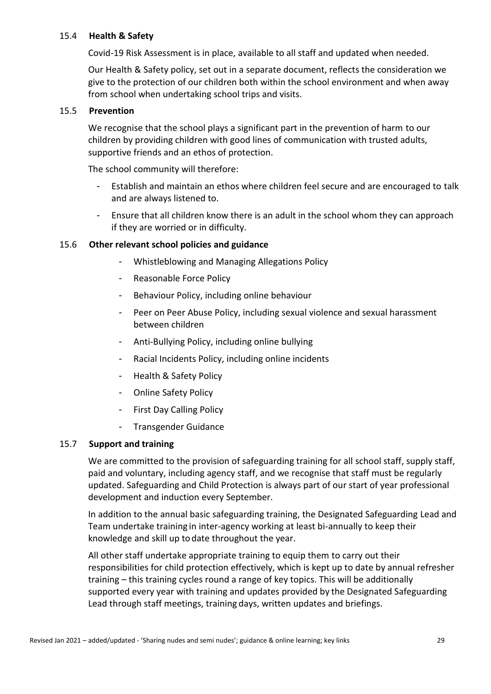#### 15.4 **Health & Safety**

Covid-19 Risk Assessment is in place, available to all staff and updated when needed.

Our Health & Safety policy, set out in a separate document, reflects the consideration we give to the protection of our children both within the school environment and when away from school when undertaking school trips and visits.

#### 15.5 **Prevention**

We recognise that the school plays a significant part in the prevention of harm to our children by providing children with good lines of communication with trusted adults, supportive friends and an ethos of protection.

The school community will therefore:

- Establish and maintain an ethos where children feel secure and are encouraged to talk and are always listened to.
- Ensure that all children know there is an adult in the school whom they can approach if they are worried or in difficulty.

#### 15.6 **Other relevant school policies and guidance**

- Whistleblowing and Managing Allegations Policy
- Reasonable Force Policy
- Behaviour Policy, including online behaviour
- Peer on Peer Abuse Policy, including sexual violence and sexual harassment between children
- Anti-Bullying Policy, including online bullying
- Racial Incidents Policy, including online incidents
- Health & Safety Policy
- Online Safety Policy
- First Day Calling Policy
- Transgender Guidance

#### 15.7 **Support and training**

We are committed to the provision of safeguarding training for all school staff, supply staff, paid and voluntary, including agency staff, and we recognise that staff must be regularly updated. Safeguarding and Child Protection is always part of our start of year professional development and induction every September.

In addition to the annual basic safeguarding training, the Designated Safeguarding Lead and Team undertake training in inter-agency working at least bi-annually to keep their knowledge and skill up todate throughout the year.

All other staff undertake appropriate training to equip them to carry out their responsibilities for child protection effectively, which is kept up to date by annual refresher training – this training cycles round a range of key topics. This will be additionally supported every year with training and updates provided by the Designated Safeguarding Lead through staff meetings, training days, written updates and briefings.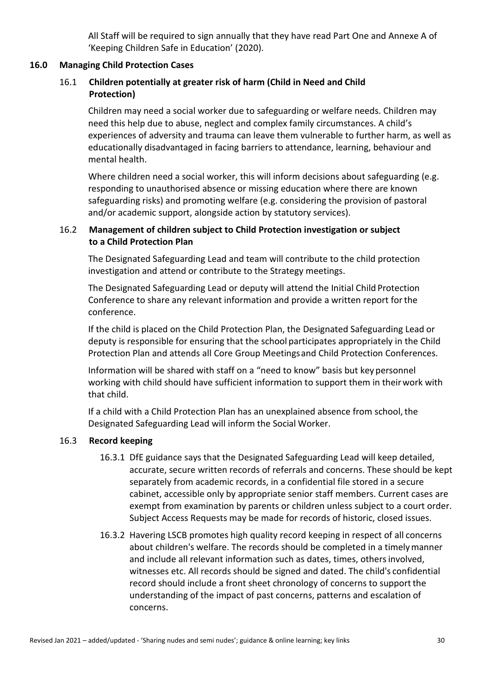All Staff will be required to sign annually that they have read Part One and Annexe A of 'Keeping Children Safe in Education' (2020).

#### **16.0 Managing Child Protection Cases**

# 16.1 **Children potentially at greater risk of harm (Child in Need and Child Protection)**

Children may need a social worker due to safeguarding or welfare needs. Children may need this help due to abuse, neglect and complex family circumstances. A child's experiences of adversity and trauma can leave them vulnerable to further harm, as well as educationally disadvantaged in facing barriers to attendance, learning, behaviour and mental health.

Where children need a social worker, this will inform decisions about safeguarding (e.g. responding to unauthorised absence or missing education where there are known safeguarding risks) and promoting welfare (e.g. considering the provision of pastoral and/or academic support, alongside action by statutory services).

# 16.2 **Management of children subject to Child Protection investigation or subject to a Child Protection Plan**

The Designated Safeguarding Lead and team will contribute to the child protection investigation and attend or contribute to the Strategy meetings.

The Designated Safeguarding Lead or deputy will attend the Initial Child Protection Conference to share any relevant information and provide a written report forthe conference.

If the child is placed on the Child Protection Plan, the Designated Safeguarding Lead or deputy is responsible for ensuring that the school participates appropriately in the Child Protection Plan and attends all Core Group Meetingsand Child Protection Conferences.

Information will be shared with staff on a "need to know" basis but key personnel working with child should have sufficient information to support them in theirwork with that child.

If a child with a Child Protection Plan has an unexplained absence from school, the Designated Safeguarding Lead will inform the Social Worker.

# 16.3 **Record keeping**

- 16.3.1 DfE guidance says that the Designated Safeguarding Lead will keep detailed, accurate, secure written records of referrals and concerns. These should be kept separately from academic records, in a confidential file stored in a secure cabinet, accessible only by appropriate senior staff members. Current cases are exempt from examination by parents or children unless subject to a court order. Subject Access Requests may be made for records of historic, closed issues.
- 16.3.2 Havering LSCB promotes high quality record keeping in respect of all concerns about children's welfare. The records should be completed in a timelymanner and include all relevant information such as dates, times, othersinvolved, witnesses etc. All records should be signed and dated. The child's confidential record should include a front sheet chronology of concerns to support the understanding of the impact of past concerns, patterns and escalation of concerns.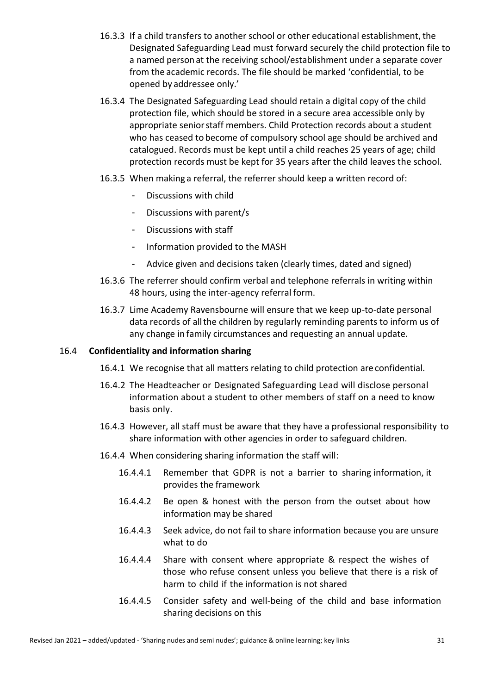- 16.3.3 If a child transfers to another school or other educational establishment, the Designated Safeguarding Lead must forward securely the child protection file to a named person at the receiving school/establishment under a separate cover from the academic records. The file should be marked 'confidential, to be opened by addressee only.'
- 16.3.4 The Designated Safeguarding Lead should retain a digital copy of the child protection file, which should be stored in a secure area accessible only by appropriate senior staff members. Child Protection records about a student who has ceased to become of compulsory school age should be archived and catalogued. Records must be kept until a child reaches 25 years of age; child protection records must be kept for 35 years after the child leaves the school.
- 16.3.5 When making a referral, the referrer should keep a written record of:
	- Discussions with child
	- Discussions with parent/s
	- Discussions with staff
	- Information provided to the MASH
	- Advice given and decisions taken (clearly times, dated and signed)
- 16.3.6 The referrer should confirm verbal and telephone referrals in writing within 48 hours, using the inter-agency referral form.
- 16.3.7 Lime Academy Ravensbourne will ensure that we keep up-to-date personal data records of all the children by regularly reminding parents to inform us of any change in family circumstances and requesting an annual update.

#### 16.4 **Confidentiality and information sharing**

- 16.4.1 We recognise that all matters relating to child protection are confidential.
- 16.4.2 The Headteacher or Designated Safeguarding Lead will disclose personal information about a student to other members of staff on a need to know basis only.
- 16.4.3 However, all staff must be aware that they have a professional responsibility to share information with other agencies in order to safeguard children.
- 16.4.4 When considering sharing information the staff will:
	- 16.4.4.1 Remember that GDPR is not a barrier to sharing information, it provides the framework
	- 16.4.4.2 Be open & honest with the person from the outset about how information may be shared
	- 16.4.4.3 Seek advice, do not fail to share information because you are unsure what to do
	- 16.4.4.4 Share with consent where appropriate & respect the wishes of those who refuse consent unless you believe that there is a risk of harm to child if the information is not shared
	- 16.4.4.5 Consider safety and well-being of the child and base information sharing decisions on this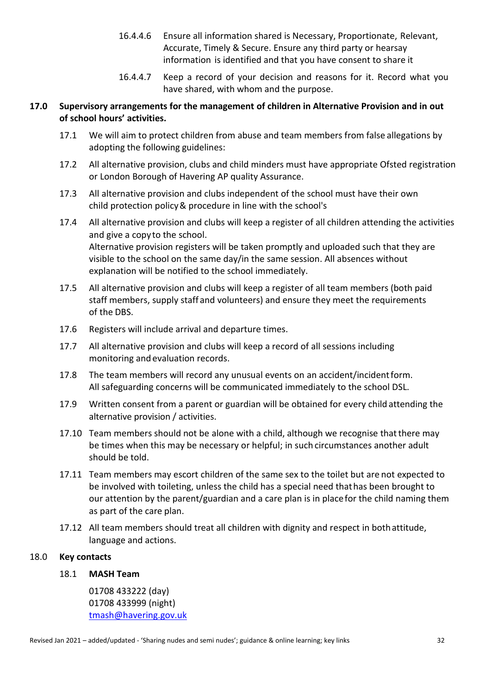- 16.4.4.6 Ensure all information shared is Necessary, Proportionate, Relevant, Accurate, Timely & Secure. Ensure any third party or hearsay information is identified and that you have consent to share it
- 16.4.4.7 Keep a record of your decision and reasons for it. Record what you have shared, with whom and the purpose.

# **17.0 Supervisory arrangements for the management of children in Alternative Provision and in out of school hours' activities.**

- 17.1 We will aim to protect children from abuse and team members from false allegations by adopting the following guidelines:
- 17.2 All alternative provision, clubs and child minders must have appropriate Ofsted registration or London Borough of Havering AP quality Assurance.
- 17.3 All alternative provision and clubs independent of the school must have their own child protection policy& procedure in line with the school's
- 17.4 All alternative provision and clubs will keep a register of all children attending the activities and give a copyto the school. Alternative provision registers will be taken promptly and uploaded such that they are visible to the school on the same day/in the same session. All absences without explanation will be notified to the school immediately.
- 17.5 All alternative provision and clubs will keep a register of all team members (both paid staff members, supply staff and volunteers) and ensure they meet the requirements of the DBS.
- 17.6 Registers will include arrival and departure times.
- 17.7 All alternative provision and clubs will keep a record of all sessions including monitoring and evaluation records.
- 17.8 The team members will record any unusual events on an accident/incidentform. All safeguarding concerns will be communicated immediately to the school DSL.
- 17.9 Written consent from a parent or guardian will be obtained for every child attending the alternative provision / activities.
- 17.10 Team members should not be alone with a child, although we recognise that there may be times when this may be necessary or helpful; in such circumstances another adult should be told.
- 17.11 Team members may escort children of the same sex to the toilet but are not expected to be involved with toileting, unless the child has a special need thathas been brought to our attention by the parent/guardian and a care plan is in placefor the child naming them as part of the care plan.
- 17.12 All team members should treat all children with dignity and respect in bothattitude, language and actions.

# 18.0 **Key contacts**

# 18.1 **MASH Team**

01708 433222 (day) 01708 433999 (night) [tmash@havering.gov.uk](mailto:tmash@havering.gov.uk)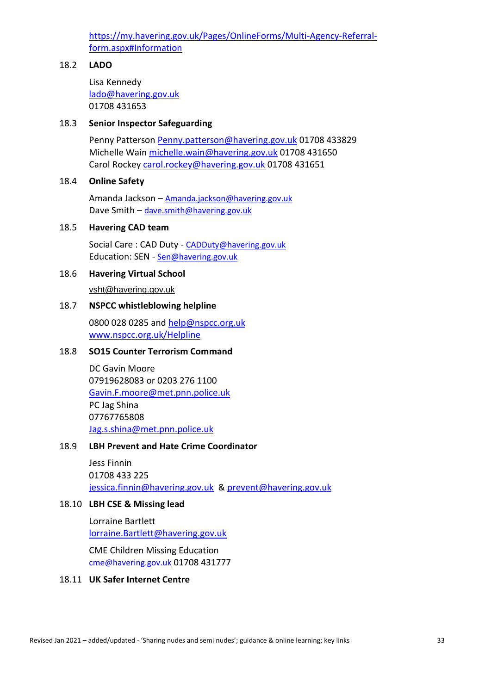[https://my.havering.gov.uk/Pages/OnlineForms/Multi-Agency-Referral](https://my.havering.gov.uk/Pages/OnlineForms/Multi-Agency-Referral-form.aspx#Information)[form.aspx#Information](https://my.havering.gov.uk/Pages/OnlineForms/Multi-Agency-Referral-form.aspx#Information)

#### 18.2 **LADO**

Lisa Kennedy [lado@havering.gov.uk](mailto:lado@havering.gov.uk) 01708 431653

#### 18.3 **Senior Inspector Safeguarding**

Penny Patterson [Penny.patterson@havering.gov.uk](mailto:Penny.patterson@havering.gov.uk) 01708 433829 Michelle Wai[n michelle.wain@havering.gov.uk](mailto:michelle.wain@havering.gov.uk) 01708 431650 Carol Rockey [carol.rockey@havering.gov.uk](mailto:carol.rockey@havering.gov.uk) 01708 431651

#### 18.4 **Online Safety**

Amanda Jackson – [Amanda.jackson@havering.gov.uk](mailto:Amanda.jackson@havering.gov.uk) Dave Smith - [dave.smith@havering.gov.uk](mailto:dave.smith@havering.gov.uk)

#### 18.5 **Havering CAD team**

Social Care : CAD Duty - [CADDuty@havering.gov.uk](mailto:CADDuty@havering.gov.uk) Education: SEN - [Sen@havering.gov.uk](mailto:Sen@havering.gov.uk)

#### 18.6 **Havering Virtual School**

[vsht@havering.gov.uk](mailto:vsht@havering.gov.uk)

#### 18.7 **NSPCC whistleblowing helpline**

0800 028 0285 and [help@nspcc.org.uk](mailto:help@nspcc.org.uk) [www.nspcc.org.uk/Helpline](http://www.nspcc.org.uk/Helpline)

#### 18.8 **SO15 Counter Terrorism Command**

DC Gavin Moore 07919628083 or 0203 276 1100 [Gavin.F.moore@met.pnn.police.uk](mailto:Gavin.F.moore@met.pnn.police.uk) PC Jag Shina 07767765808 [Jag.s.shina@met.pnn.police.uk](mailto:Jag.s.shina@met.pnn.police.uk)

#### 18.9 **LBH Prevent and Hate Crime Coordinator**

Jess Finnin 01708 433 225 [jessica.finnin@havering.gov.uk](mailto:jessica.finnin@havering.gov.uk) & [prevent@havering.gov.uk](mailto:prevent@havering.gov.uk)

#### 18.10 **LBH CSE & Missing lead**

Lorraine Bartlett [lorraine.Bartlett@havering.gov.uk](mailto:lorraine.Bartlett@havering.gov.uk)

CME Children Missing Education [cme@havering.gov.uk](mailto:cme@havering.gov.uk) 01708 431777

# 18.11 **UK Safer Internet Centre**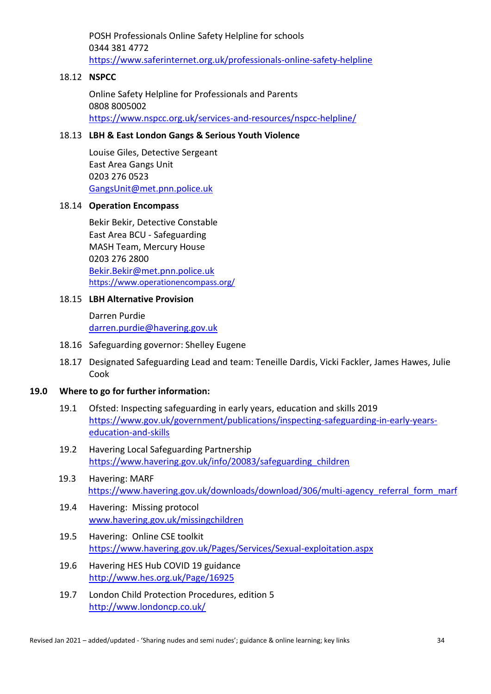POSH Professionals Online Safety Helpline for schools 0344 381 4772 <https://www.saferinternet.org.uk/professionals-online-safety-helpline>

# 18.12 **NSPCC**

Online Safety Helpline for Professionals and Parents 0808 8005002 <https://www.nspcc.org.uk/services-and-resources/nspcc-helpline/>

#### 18.13 **LBH & East London Gangs & Serious Youth Violence**

Louise Giles, Detective Sergeant East Area Gangs Unit 0203 276 0523 [GangsUnit@met.pnn.police.uk](mailto:GangsUnit@met.pnn.police.uk)

#### 18.14 **Operation Encompass**

Bekir Bekir, Detective Constable East Area BCU - Safeguarding MASH Team, Mercury House 0203 276 2800 [Bekir.Bekir@met.pnn.police.uk](mailto:Bekir.Bekir@met.pnn.police.uk) <https://www.operationencompass.org/>

#### 18.15 **LBH Alternative Provision**

Darren Purdie [darren.purdie@havering.gov.uk](mailto:darren.purdie@havering.gov.uk)

- 18.16 Safeguarding governor: Shelley Eugene
- 18.17 Designated Safeguarding Lead and team: Teneille Dardis, Vicki Fackler, James Hawes, Julie Cook

#### **19.0 Where to go for further information:**

- 19.1 Ofsted: Inspecting safeguarding in early years, education and skills 2019 [https://www.gov.uk/government/publications/inspecting-safeguarding-in-early-years](https://www.gov.uk/government/publications/inspecting-safeguarding-in-early-years-education-and-skills)[education-and-skills](https://www.gov.uk/government/publications/inspecting-safeguarding-in-early-years-education-and-skills)
- 19.2 Havering Local Safeguarding Partnership [https://www.havering.gov.uk/info/20083/safeguarding\\_children](https://www.havering.gov.uk/info/20083/safeguarding_children)
- 19.3 Havering: MARF [https://www.havering.gov.uk/downloads/download/306/multi-agency\\_referral\\_form\\_marf](https://www.havering.gov.uk/downloads/download/306/multi-agency_referral_form_marf)
- 19.4 Havering: Missing protocol [www.havering.gov.uk/missingchildren](http://www.havering.gov.uk/Pages/Services/Social-care-client-contact-problems.aspx)
- 19.5 Havering: Online CSE toolkit <https://www.havering.gov.uk/Pages/Services/Sexual-exploitation.aspx>
- 19.6 Havering HES Hub COVID 19 guidance <http://www.hes.org.uk/Page/16925>
- 19.7 London Child Protection Procedures, edition 5 <http://www.londoncp.co.uk/>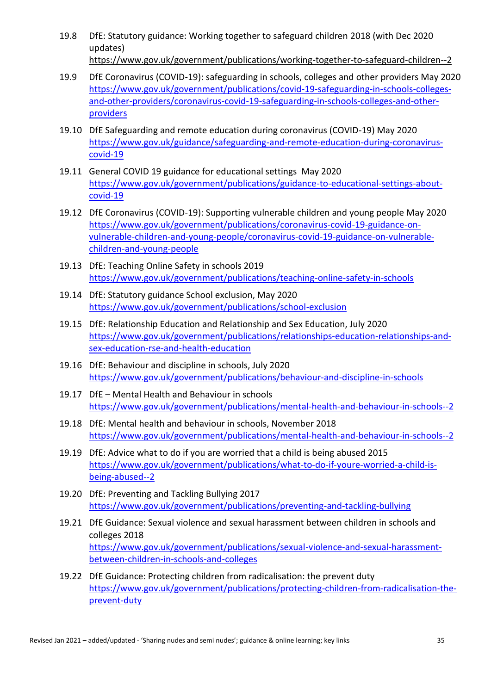- 19.8 DfE: Statutory guidance: Working together to safeguard children 2018 (with Dec 2020 updates) <https://www.gov.uk/government/publications/working-together-to-safeguard-children--2>
- 19.9 DfE Coronavirus (COVID-19): safeguarding in schools, colleges and other providers May 2020 [https://www.gov.uk/government/publications/covid-19-safeguarding-in-schools-colleges](https://www.gov.uk/government/publications/covid-19-safeguarding-in-schools-colleges-and-other-providers/coronavirus-covid-19-safeguarding-in-schools-colleges-and-other-providers)[and-other-providers/coronavirus-covid-19-safeguarding-in-schools-colleges-and-other](https://www.gov.uk/government/publications/covid-19-safeguarding-in-schools-colleges-and-other-providers/coronavirus-covid-19-safeguarding-in-schools-colleges-and-other-providers)[providers](https://www.gov.uk/government/publications/covid-19-safeguarding-in-schools-colleges-and-other-providers/coronavirus-covid-19-safeguarding-in-schools-colleges-and-other-providers)
- 19.10 DfE Safeguarding and remote education during coronavirus (COVID-19) May 2020 [https://www.gov.uk/guidance/safeguarding-and-remote-education-during-coronavirus](https://www.gov.uk/guidance/safeguarding-and-remote-education-during-coronavirus-covid-19)[covid-19](https://www.gov.uk/guidance/safeguarding-and-remote-education-during-coronavirus-covid-19)
- 19.11 General COVID 19 guidance for educational settings May 2020 [https://www.gov.uk/government/publications/guidance-to-educational-settings-about](https://www.gov.uk/government/publications/guidance-to-educational-settings-about-covid-19)[covid-19](https://www.gov.uk/government/publications/guidance-to-educational-settings-about-covid-19)
- 19.12 DfE Coronavirus (COVID-19): Supporting vulnerable children and young people May 2020 [https://www.gov.uk/government/publications/coronavirus-covid-19-guidance-on](https://www.gov.uk/government/publications/coronavirus-covid-19-guidance-on-vulnerable-children-and-young-people/coronavirus-covid-19-guidance-on-vulnerable-children-and-young-people)[vulnerable-children-and-young-people/coronavirus-covid-19-guidance-on-vulnerable](https://www.gov.uk/government/publications/coronavirus-covid-19-guidance-on-vulnerable-children-and-young-people/coronavirus-covid-19-guidance-on-vulnerable-children-and-young-people)[children-and-young-people](https://www.gov.uk/government/publications/coronavirus-covid-19-guidance-on-vulnerable-children-and-young-people/coronavirus-covid-19-guidance-on-vulnerable-children-and-young-people)
- 19.13 DfE: Teaching Online Safety in schools 2019 <https://www.gov.uk/government/publications/teaching-online-safety-in-schools>
- 19.14 DfE: Statutory guidance School exclusion, May 2020 <https://www.gov.uk/government/publications/school-exclusion>
- 19.15 DfE: Relationship Education and Relationship and Sex Education, July 2020 [https://www.gov.uk/government/publications/relationships-education-relationships-and](https://www.gov.uk/government/publications/relationships-education-relationships-and-sex-education-rse-and-health-education)[sex-education-rse-and-health-education](https://www.gov.uk/government/publications/relationships-education-relationships-and-sex-education-rse-and-health-education)
- 19.16 DfE: Behaviour and discipline in schools, July 2020 <https://www.gov.uk/government/publications/behaviour-and-discipline-in-schools>
- 19.17 DfE Mental Health and Behaviour in schools <https://www.gov.uk/government/publications/mental-health-and-behaviour-in-schools--2>
- 19.18 DfE: Mental health and behaviour in schools, November 2018 <https://www.gov.uk/government/publications/mental-health-and-behaviour-in-schools--2>
- 19.19 DfE: Advice what to do if you are worried that a child is being abused 2015 [https://www.gov.uk/government/publications/what-to-do-if-youre-worried-a-child-is](https://www.gov.uk/government/publications/what-to-do-if-youre-worried-a-child-is-being-abused--2)[being-abused--2](https://www.gov.uk/government/publications/what-to-do-if-youre-worried-a-child-is-being-abused--2)
- 19.20 DfE: Preventing and Tackling Bullying 2017 <https://www.gov.uk/government/publications/preventing-and-tackling-bullying>
- 19.21 DfE Guidance: [Sexual violence and sexual harassment between children in schools and](https://www.gov.uk/government/uploads/system/uploads/attachment_data/file/719902/Sexual_violence_and_sexual_harassment_between_children_in_schools_and_colleges.pdf)  [colleges](https://www.gov.uk/government/uploads/system/uploads/attachment_data/file/719902/Sexual_violence_and_sexual_harassment_between_children_in_schools_and_colleges.pdf) 2018 [https://www.gov.uk/government/publications/sexual-violence-and-sexual-harassment](https://www.gov.uk/government/publications/sexual-violence-and-sexual-harassment-between-children-in-schools-and-colleges)[between-children-in-schools-and-colleges](https://www.gov.uk/government/publications/sexual-violence-and-sexual-harassment-between-children-in-schools-and-colleges)
- 19.22 DfE Guidance: Protecting children from radicalisation: the prevent duty [https://www.gov.uk/government/publications/protecting-children-from-radicalisation-the](https://www.gov.uk/government/publications/protecting-children-from-radicalisation-the-prevent-duty)[prevent-duty](https://www.gov.uk/government/publications/protecting-children-from-radicalisation-the-prevent-duty)